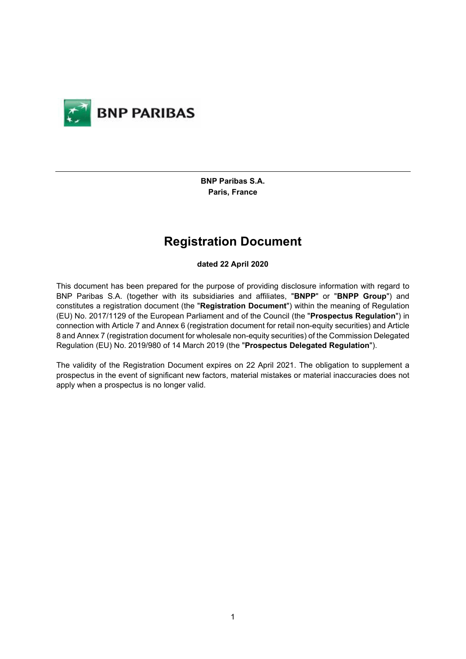

**BNP Paribas S.A. Paris, France**

# **Registration Document**

#### **dated 22 April 2020**

This document has been prepared for the purpose of providing disclosure information with regard to BNP Paribas S.A. (together with its subsidiaries and affiliates, "**BNPP**" or "**BNPP Group**") and constitutes a registration document (the "**Registration Document**") within the meaning of Regulation (EU) No. 2017/1129 of the European Parliament and of the Council (the "**Prospectus Regulation**") in connection with Article 7 and Annex 6 (registration document for retail non-equity securities) and Article 8 and Annex 7 (registration document for wholesale non-equity securities) of the Commission Delegated Regulation (EU) No. 2019/980 of 14 March 2019 (the "**Prospectus Delegated Regulation**").

The validity of the Registration Document expires on 22 April 2021. The obligation to supplement a prospectus in the event of significant new factors, material mistakes or material inaccuracies does not apply when a prospectus is no longer valid.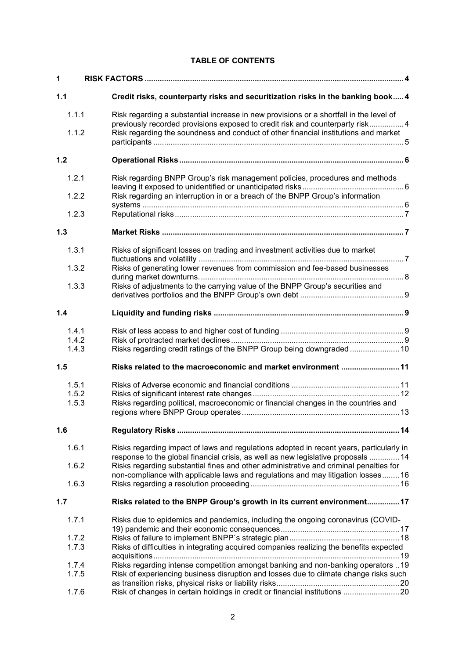## **TABLE OF CONTENTS**

| 1                       |                                                                                                                                                                                                                                                                       |  |  |
|-------------------------|-----------------------------------------------------------------------------------------------------------------------------------------------------------------------------------------------------------------------------------------------------------------------|--|--|
| 1.1                     | Credit risks, counterparty risks and securitization risks in the banking book 4                                                                                                                                                                                       |  |  |
| 1.1.1                   | Risk regarding a substantial increase in new provisions or a shortfall in the level of<br>previously recorded provisions exposed to credit risk and counterparty risk4                                                                                                |  |  |
| 1.1.2                   | Risk regarding the soundness and conduct of other financial institutions and market                                                                                                                                                                                   |  |  |
| 1.2                     |                                                                                                                                                                                                                                                                       |  |  |
| 1.2.1                   | Risk regarding BNPP Group's risk management policies, procedures and methods                                                                                                                                                                                          |  |  |
| 1.2.2                   | Risk regarding an interruption in or a breach of the BNPP Group's information                                                                                                                                                                                         |  |  |
| 1.2.3                   |                                                                                                                                                                                                                                                                       |  |  |
| 1.3                     |                                                                                                                                                                                                                                                                       |  |  |
| 1.3.1                   | Risks of significant losses on trading and investment activities due to market                                                                                                                                                                                        |  |  |
| 1.3.2                   | Risks of generating lower revenues from commission and fee-based businesses                                                                                                                                                                                           |  |  |
| 1.3.3                   | Risks of adjustments to the carrying value of the BNPP Group's securities and                                                                                                                                                                                         |  |  |
| 1.4                     |                                                                                                                                                                                                                                                                       |  |  |
| 1.4.1<br>1.4.2<br>1.4.3 | Risks regarding credit ratings of the BNPP Group being downgraded 10                                                                                                                                                                                                  |  |  |
| 1.5                     | Risks related to the macroeconomic and market environment 11                                                                                                                                                                                                          |  |  |
| 1.5.1<br>1.5.2<br>1.5.3 | Risks regarding political, macroeconomic or financial changes in the countries and                                                                                                                                                                                    |  |  |
| 1.6                     |                                                                                                                                                                                                                                                                       |  |  |
| 1.6.1<br>1.6.2          | Risks regarding impact of laws and regulations adopted in recent years, particularly in<br>response to the global financial crisis, as well as new legislative proposals  14<br>Risks regarding substantial fines and other administrative and criminal penalties for |  |  |
| 1.6.3                   | non-compliance with applicable laws and regulations and may litigation losses 16                                                                                                                                                                                      |  |  |
| 1.7                     | Risks related to the BNPP Group's growth in its current environment 17                                                                                                                                                                                                |  |  |
| 1.7.1                   | Risks due to epidemics and pandemics, including the ongoing coronavirus (COVID-                                                                                                                                                                                       |  |  |
|                         |                                                                                                                                                                                                                                                                       |  |  |
| 1.7.2<br>1.7.3          | Risks of difficulties in integrating acquired companies realizing the benefits expected                                                                                                                                                                               |  |  |
| 1.7.4<br>1.7.5          | Risks regarding intense competition amongst banking and non-banking operators  19<br>Risk of experiencing business disruption and losses due to climate change risks such                                                                                             |  |  |
| 1.7.6                   | Risk of changes in certain holdings in credit or financial institutions 20                                                                                                                                                                                            |  |  |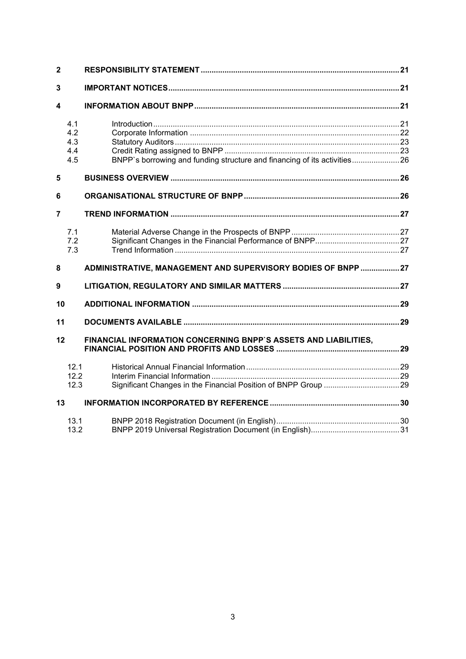| $\overline{2}$ |                                 |                                                                          |  |
|----------------|---------------------------------|--------------------------------------------------------------------------|--|
| 3              |                                 |                                                                          |  |
| 4              |                                 |                                                                          |  |
|                | 4.1<br>4.2<br>4.3<br>4.4<br>4.5 | BNPP's borrowing and funding structure and financing of its activities26 |  |
| 5              |                                 |                                                                          |  |
| 6              |                                 |                                                                          |  |
| $\overline{7}$ |                                 |                                                                          |  |
|                | 7.1<br>7.2<br>7.3               |                                                                          |  |
| 8              |                                 | ADMINISTRATIVE, MANAGEMENT AND SUPERVISORY BODIES OF BNPP 27             |  |
| 9              |                                 |                                                                          |  |
| 10             |                                 |                                                                          |  |
| 11             |                                 |                                                                          |  |
| 12             |                                 | FINANCIAL INFORMATION CONCERNING BNPP'S ASSETS AND LIABILITIES,          |  |
|                | 12.1<br>12.2<br>12.3            |                                                                          |  |
| 13             |                                 |                                                                          |  |
|                | 13.1<br>13.2                    |                                                                          |  |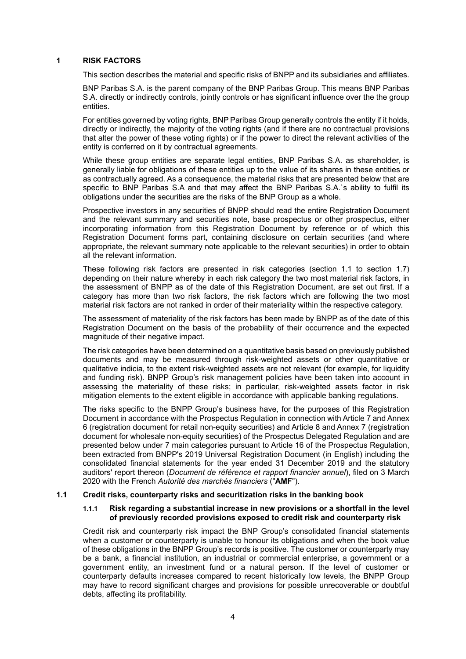#### <span id="page-3-0"></span>**1 RISK FACTORS**

This section describes the material and specific risks of BNPP and its subsidiaries and affiliates.

BNP Paribas S.A. is the parent company of the BNP Paribas Group. This means BNP Paribas S.A. directly or indirectly controls, jointly controls or has significant influence over the the group entities.

For entities governed by voting rights, BNP Paribas Group generally controls the entity if it holds, directly or indirectly, the majority of the voting rights (and if there are no contractual provisions that alter the power of these voting rights) or if the power to direct the relevant activities of the entity is conferred on it by contractual agreements.

While these group entities are separate legal entities, BNP Paribas S.A. as shareholder, is generally liable for obligations of these entities up to the value of its shares in these entities or as contractually agreed. As a consequence, the material risks that are presented below that are specific to BNP Paribas S.A and that may affect the BNP Paribas S.A.`s ability to fulfil its obligations under the securities are the risks of the BNP Group as a whole.

Prospective investors in any securities of BNPP should read the entire Registration Document and the relevant summary and securities note, base prospectus or other prospectus, either incorporating information from this Registration Document by reference or of which this Registration Document forms part, containing disclosure on certain securities (and where appropriate, the relevant summary note applicable to the relevant securities) in order to obtain all the relevant information.

These following risk factors are presented in risk categories (section [1.1](#page-3-1) to section [1.7\)](#page-16-0) depending on their nature whereby in each risk category the two most material risk factors, in the assessment of BNPP as of the date of this Registration Document, are set out first. If a category has more than two risk factors, the risk factors which are following the two most material risk factors are not ranked in order of their materiality within the respective category.

The assessment of materiality of the risk factors has been made by BNPP as of the date of this Registration Document on the basis of the probability of their occurrence and the expected magnitude of their negative impact.

The risk categories have been determined on a quantitative basis based on previously published documents and may be measured through risk-weighted assets or other quantitative or qualitative indicia, to the extent risk-weighted assets are not relevant (for example, for liquidity and funding risk). BNPP Group's risk management policies have been taken into account in assessing the materiality of these risks; in particular, risk-weighted assets factor in risk mitigation elements to the extent eligible in accordance with applicable banking regulations.

The risks specific to the BNPP Group's business have, for the purposes of this Registration Document in accordance with the Prospectus Regulation in connection with Article 7 and Annex 6 (registration document for retail non-equity securities) and Article 8 and Annex 7 (registration document for wholesale non-equity securities) of the Prospectus Delegated Regulation and are presented below under 7 main categories pursuant to Article 16 of the Prospectus Regulation, been extracted from BNPP's 2019 Universal Registration Document (in English) including the consolidated financial statements for the year ended 31 December 2019 and the statutory auditors' report thereon (*Document de référence et rapport financier annuel*), filed on 3 March 2020 with the French *Autorité des marchés financiers* ("**AMF**").

#### <span id="page-3-2"></span><span id="page-3-1"></span>**1.1 Credit risks, counterparty risks and securitization risks in the banking book**

#### **1.1.1 Risk regarding a substantial increase in new provisions or a shortfall in the level of previously recorded provisions exposed to credit risk and counterparty risk**

Credit risk and counterparty risk impact the BNP Group's consolidated financial statements when a customer or counterparty is unable to honour its obligations and when the book value of these obligations in the BNPP Group's records is positive. The customer or counterparty may be a bank, a financial institution, an industrial or commercial enterprise, a government or a government entity, an investment fund or a natural person. If the level of customer or counterparty defaults increases compared to recent historically low levels, the BNPP Group may have to record significant charges and provisions for possible unrecoverable or doubtful debts, affecting its profitability.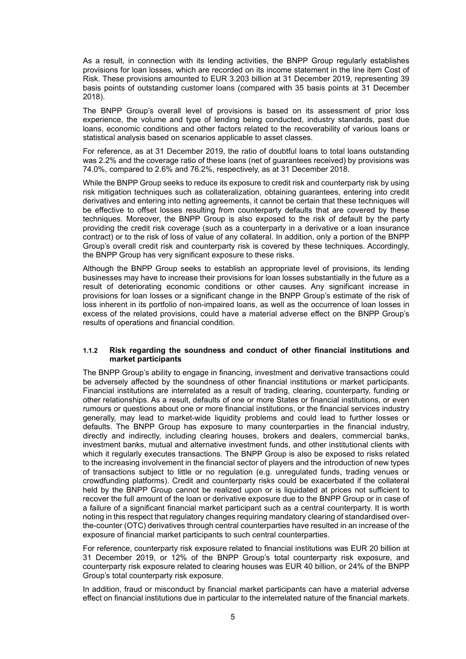As a result, in connection with its lending activities, the BNPP Group regularly establishes provisions for loan losses, which are recorded on its income statement in the line item Cost of Risk. These provisions amounted to EUR 3.203 billion at 31 December 2019, representing 39 basis points of outstanding customer loans (compared with 35 basis points at 31 December 2018).

The BNPP Group's overall level of provisions is based on its assessment of prior loss experience, the volume and type of lending being conducted, industry standards, past due loans, economic conditions and other factors related to the recoverability of various loans or statistical analysis based on scenarios applicable to asset classes.

For reference, as at 31 December 2019, the ratio of doubtful loans to total loans outstanding was 2.2% and the coverage ratio of these loans (net of guarantees received) by provisions was 74.0%, compared to 2.6% and 76.2%, respectively, as at 31 December 2018.

While the BNPP Group seeks to reduce its exposure to credit risk and counterparty risk by using risk mitigation techniques such as collateralization, obtaining guarantees, entering into credit derivatives and entering into netting agreements, it cannot be certain that these techniques will be effective to offset losses resulting from counterparty defaults that are covered by these techniques. Moreover, the BNPP Group is also exposed to the risk of default by the party providing the credit risk coverage (such as a counterparty in a derivative or a loan insurance contract) or to the risk of loss of value of any collateral. In addition, only a portion of the BNPP Group's overall credit risk and counterparty risk is covered by these techniques. Accordingly, the BNPP Group has very significant exposure to these risks.

Although the BNPP Group seeks to establish an appropriate level of provisions, its lending businesses may have to increase their provisions for loan losses substantially in the future as a result of deteriorating economic conditions or other causes. Any significant increase in provisions for loan losses or a significant change in the BNPP Group's estimate of the risk of loss inherent in its portfolio of non-impaired loans, as well as the occurrence of loan losses in excess of the related provisions, could have a material adverse effect on the BNPP Group's results of operations and financial condition.

#### <span id="page-4-0"></span>**1.1.2 Risk regarding the soundness and conduct of other financial institutions and market participants**

The BNPP Group's ability to engage in financing, investment and derivative transactions could be adversely affected by the soundness of other financial institutions or market participants. Financial institutions are interrelated as a result of trading, clearing, counterparty, funding or other relationships. As a result, defaults of one or more States or financial institutions, or even rumours or questions about one or more financial institutions, or the financial services industry generally, may lead to market-wide liquidity problems and could lead to further losses or defaults. The BNPP Group has exposure to many counterparties in the financial industry, directly and indirectly, including clearing houses, brokers and dealers, commercial banks, investment banks, mutual and alternative investment funds, and other institutional clients with which it regularly executes transactions. The BNPP Group is also be exposed to risks related to the increasing involvement in the financial sector of players and the introduction of new types of transactions subject to little or no regulation (e.g. unregulated funds, trading venues or crowdfunding platforms). Credit and counterparty risks could be exacerbated if the collateral held by the BNPP Group cannot be realized upon or is liquidated at prices not sufficient to recover the full amount of the loan or derivative exposure due to the BNPP Group or in case of a failure of a significant financial market participant such as a central counterparty. It is worth noting in this respect that regulatory changes requiring mandatory clearing of standardised overthe-counter (OTC) derivatives through central counterparties have resulted in an increase of the exposure of financial market participants to such central counterparties.

For reference, counterparty risk exposure related to financial institutions was EUR 20 billion at 31 December 2019, or 12% of the BNPP Group's total counterparty risk exposure, and counterparty risk exposure related to clearing houses was EUR 40 billion, or 24% of the BNPP Group's total counterparty risk exposure.

In addition, fraud or misconduct by financial market participants can have a material adverse effect on financial institutions due in particular to the interrelated nature of the financial markets.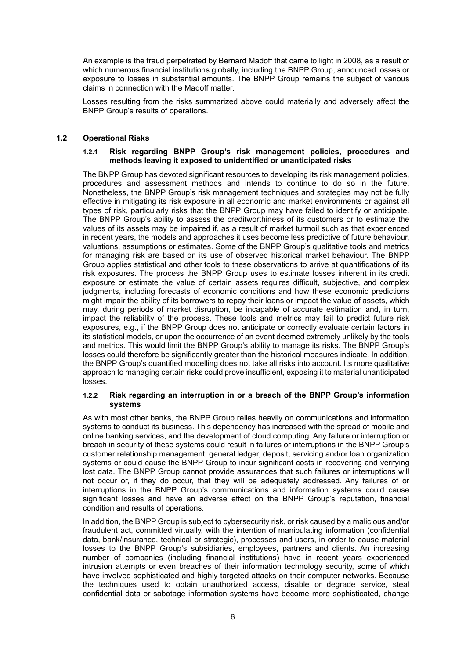An example is the fraud perpetrated by Bernard Madoff that came to light in 2008, as a result of which numerous financial institutions globally, including the BNPP Group, announced losses or exposure to losses in substantial amounts. The BNPP Group remains the subject of various claims in connection with the Madoff matter.

Losses resulting from the risks summarized above could materially and adversely affect the BNPP Group's results of operations.

#### <span id="page-5-1"></span><span id="page-5-0"></span>**1.2 Operational Risks**

#### **1.2.1 Risk regarding BNPP Group's risk management policies, procedures and methods leaving it exposed to unidentified or unanticipated risks**

The BNPP Group has devoted significant resources to developing its risk management policies, procedures and assessment methods and intends to continue to do so in the future. Nonetheless, the BNPP Group's risk management techniques and strategies may not be fully effective in mitigating its risk exposure in all economic and market environments or against all types of risk, particularly risks that the BNPP Group may have failed to identify or anticipate. The BNPP Group's ability to assess the creditworthiness of its customers or to estimate the values of its assets may be impaired if, as a result of market turmoil such as that experienced in recent years, the models and approaches it uses become less predictive of future behaviour, valuations, assumptions or estimates. Some of the BNPP Group's qualitative tools and metrics for managing risk are based on its use of observed historical market behaviour. The BNPP Group applies statistical and other tools to these observations to arrive at quantifications of its risk exposures. The process the BNPP Group uses to estimate losses inherent in its credit exposure or estimate the value of certain assets requires difficult, subjective, and complex judgments, including forecasts of economic conditions and how these economic predictions might impair the ability of its borrowers to repay their loans or impact the value of assets, which may, during periods of market disruption, be incapable of accurate estimation and, in turn, impact the reliability of the process. These tools and metrics may fail to predict future risk exposures, e.g., if the BNPP Group does not anticipate or correctly evaluate certain factors in its statistical models, or upon the occurrence of an event deemed extremely unlikely by the tools and metrics. This would limit the BNPP Group's ability to manage its risks. The BNPP Group's losses could therefore be significantly greater than the historical measures indicate. In addition, the BNPP Group's quantified modelling does not take all risks into account. Its more qualitative approach to managing certain risks could prove insufficient, exposing it to material unanticipated losses.

#### <span id="page-5-2"></span>**1.2.2 Risk regarding an interruption in or a breach of the BNPP Group's information systems**

As with most other banks, the BNPP Group relies heavily on communications and information systems to conduct its business. This dependency has increased with the spread of mobile and online banking services, and the development of cloud computing. Any failure or interruption or breach in security of these systems could result in failures or interruptions in the BNPP Group's customer relationship management, general ledger, deposit, servicing and/or loan organization systems or could cause the BNPP Group to incur significant costs in recovering and verifying lost data. The BNPP Group cannot provide assurances that such failures or interruptions will not occur or, if they do occur, that they will be adequately addressed. Any failures of or interruptions in the BNPP Group's communications and information systems could cause significant losses and have an adverse effect on the BNPP Group's reputation, financial condition and results of operations.

In addition, the BNPP Group is subject to cybersecurity risk, or risk caused by a malicious and/or fraudulent act, committed virtually, with the intention of manipulating information (confidential data, bank/insurance, technical or strategic), processes and users, in order to cause material losses to the BNPP Group's subsidiaries, employees, partners and clients. An increasing number of companies (including financial institutions) have in recent years experienced intrusion attempts or even breaches of their information technology security, some of which have involved sophisticated and highly targeted attacks on their computer networks. Because the techniques used to obtain unauthorized access, disable or degrade service, steal confidential data or sabotage information systems have become more sophisticated, change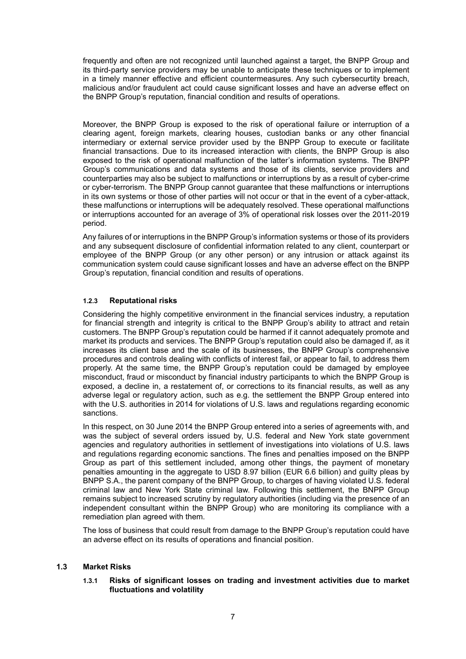frequently and often are not recognized until launched against a target, the BNPP Group and its third-party service providers may be unable to anticipate these techniques or to implement in a timely manner effective and efficient countermeasures. Any such cybersecurtity breach, malicious and/or fraudulent act could cause significant losses and have an adverse effect on the BNPP Group's reputation, financial condition and results of operations.

Moreover, the BNPP Group is exposed to the risk of operational failure or interruption of a clearing agent, foreign markets, clearing houses, custodian banks or any other financial intermediary or external service provider used by the BNPP Group to execute or facilitate financial transactions. Due to its increased interaction with clients, the BNPP Group is also exposed to the risk of operational malfunction of the latter's information systems. The BNPP Group's communications and data systems and those of its clients, service providers and counterparties may also be subject to malfunctions or interruptions by as a result of cyber-crime or cyber-terrorism. The BNPP Group cannot guarantee that these malfunctions or interruptions in its own systems or those of other parties will not occur or that in the event of a cyber-attack, these malfunctions or interruptions will be adequately resolved. These operational malfunctions or interruptions accounted for an average of 3% of operational risk losses over the 2011-2019 period.

Any failures of or interruptions in the BNPP Group's information systems or those of its providers and any subsequent disclosure of confidential information related to any client, counterpart or employee of the BNPP Group (or any other person) or any intrusion or attack against its communication system could cause significant losses and have an adverse effect on the BNPP Group's reputation, financial condition and results of operations.

## <span id="page-6-0"></span>**1.2.3 Reputational risks**

Considering the highly competitive environment in the financial services industry, a reputation for financial strength and integrity is critical to the BNPP Group's ability to attract and retain customers. The BNPP Group's reputation could be harmed if it cannot adequately promote and market its products and services. The BNPP Group's reputation could also be damaged if, as it increases its client base and the scale of its businesses, the BNPP Group's comprehensive procedures and controls dealing with conflicts of interest fail, or appear to fail, to address them properly. At the same time, the BNPP Group's reputation could be damaged by employee misconduct, fraud or misconduct by financial industry participants to which the BNPP Group is exposed, a decline in, a restatement of, or corrections to its financial results, as well as any adverse legal or regulatory action, such as e.g. the settlement the BNPP Group entered into with the U.S. authorities in 2014 for violations of U.S. laws and regulations regarding economic sanctions.

In this respect, on 30 June 2014 the BNPP Group entered into a series of agreements with, and was the subject of several orders issued by, U.S. federal and New York state government agencies and regulatory authorities in settlement of investigations into violations of U.S. laws and regulations regarding economic sanctions. The fines and penalties imposed on the BNPP Group as part of this settlement included, among other things, the payment of monetary penalties amounting in the aggregate to USD 8.97 billion (EUR 6.6 billion) and guilty pleas by BNPP S.A., the parent company of the BNPP Group, to charges of having violated U.S. federal criminal law and New York State criminal law. Following this settlement, the BNPP Group remains subject to increased scrutiny by regulatory authorities (including via the presence of an independent consultant within the BNPP Group) who are monitoring its compliance with a remediation plan agreed with them.

The loss of business that could result from damage to the BNPP Group's reputation could have an adverse effect on its results of operations and financial position.

## <span id="page-6-2"></span><span id="page-6-1"></span>**1.3 Market Risks**

#### **1.3.1 Risks of significant losses on trading and investment activities due to market fluctuations and volatility**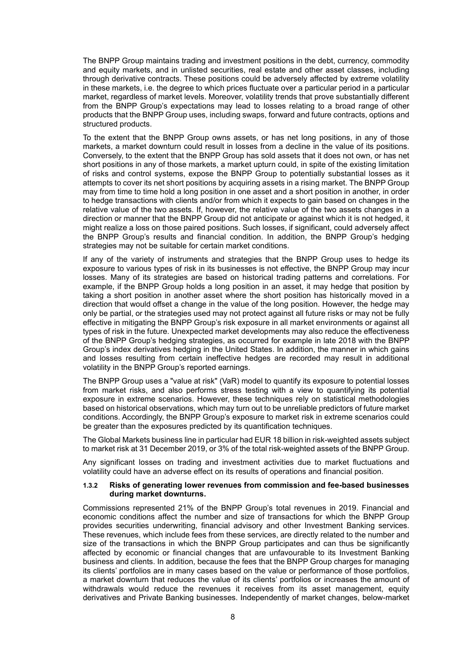The BNPP Group maintains trading and investment positions in the debt, currency, commodity and equity markets, and in unlisted securities, real estate and other asset classes, including through derivative contracts. These positions could be adversely affected by extreme volatility in these markets, i.e. the degree to which prices fluctuate over a particular period in a particular market, regardless of market levels. Moreover, volatility trends that prove substantially different from the BNPP Group's expectations may lead to losses relating to a broad range of other products that the BNPP Group uses, including swaps, forward and future contracts, options and structured products.

To the extent that the BNPP Group owns assets, or has net long positions, in any of those markets, a market downturn could result in losses from a decline in the value of its positions. Conversely, to the extent that the BNPP Group has sold assets that it does not own, or has net short positions in any of those markets, a market upturn could, in spite of the existing limitation of risks and control systems, expose the BNPP Group to potentially substantial losses as it attempts to cover its net short positions by acquiring assets in a rising market. The BNPP Group may from time to time hold a long position in one asset and a short position in another, in order to hedge transactions with clients and/or from which it expects to gain based on changes in the relative value of the two assets. If, however, the relative value of the two assets changes in a direction or manner that the BNPP Group did not anticipate or against which it is not hedged, it might realize a loss on those paired positions. Such losses, if significant, could adversely affect the BNPP Group's results and financial condition. In addition, the BNPP Group's hedging strategies may not be suitable for certain market conditions.

If any of the variety of instruments and strategies that the BNPP Group uses to hedge its exposure to various types of risk in its businesses is not effective, the BNPP Group may incur losses. Many of its strategies are based on historical trading patterns and correlations. For example, if the BNPP Group holds a long position in an asset, it may hedge that position by taking a short position in another asset where the short position has historically moved in a direction that would offset a change in the value of the long position. However, the hedge may only be partial, or the strategies used may not protect against all future risks or may not be fully effective in mitigating the BNPP Group's risk exposure in all market environments or against all types of risk in the future. Unexpected market developments may also reduce the effectiveness of the BNPP Group's hedging strategies, as occurred for example in late 2018 with the BNPP Group's index derivatives hedging in the United States. In addition, the manner in which gains and losses resulting from certain ineffective hedges are recorded may result in additional volatility in the BNPP Group's reported earnings.

The BNPP Group uses a "value at risk" (VaR) model to quantify its exposure to potential losses from market risks, and also performs stress testing with a view to quantifying its potential exposure in extreme scenarios. However, these techniques rely on statistical methodologies based on historical observations, which may turn out to be unreliable predictors of future market conditions. Accordingly, the BNPP Group's exposure to market risk in extreme scenarios could be greater than the exposures predicted by its quantification techniques.

The Global Markets business line in particular had EUR 18 billion in risk-weighted assets subject to market risk at 31 December 2019, or 3% of the total risk-weighted assets of the BNPP Group.

Any significant losses on trading and investment activities due to market fluctuations and volatility could have an adverse effect on its results of operations and financial position.

#### <span id="page-7-0"></span>**1.3.2 Risks of generating lower revenues from commission and fee-based businesses during market downturns.**

Commissions represented 21% of the BNPP Group's total revenues in 2019. Financial and economic conditions affect the number and size of transactions for which the BNPP Group provides securities underwriting, financial advisory and other Investment Banking services. These revenues, which include fees from these services, are directly related to the number and size of the transactions in which the BNPP Group participates and can thus be significantly affected by economic or financial changes that are unfavourable to its Investment Banking business and clients. In addition, because the fees that the BNPP Group charges for managing its clients' portfolios are in many cases based on the value or performance of those portfolios, a market downturn that reduces the value of its clients' portfolios or increases the amount of withdrawals would reduce the revenues it receives from its asset management, equity derivatives and Private Banking businesses. Independently of market changes, below-market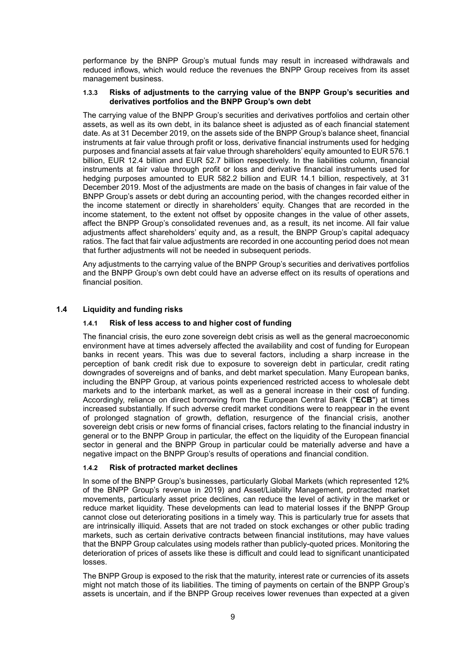performance by the BNPP Group's mutual funds may result in increased withdrawals and reduced inflows, which would reduce the revenues the BNPP Group receives from its asset management business.

#### <span id="page-8-0"></span>**1.3.3 Risks of adjustments to the carrying value of the BNPP Group's securities and derivatives portfolios and the BNPP Group's own debt**

The carrying value of the BNPP Group's securities and derivatives portfolios and certain other assets, as well as its own debt, in its balance sheet is adjusted as of each financial statement date. As at 31 December 2019, on the assets side of the BNPP Group's balance sheet, financial instruments at fair value through profit or loss, derivative financial instruments used for hedging purposes and financial assets at fair value through shareholders' equity amounted to EUR 576.1 billion, EUR 12.4 billion and EUR 52.7 billion respectively. In the liabilities column, financial instruments at fair value through profit or loss and derivative financial instruments used for hedging purposes amounted to EUR 582.2 billion and EUR 14.1 billion, respectively, at 31 December 2019. Most of the adjustments are made on the basis of changes in fair value of the BNPP Group's assets or debt during an accounting period, with the changes recorded either in the income statement or directly in shareholders' equity. Changes that are recorded in the income statement, to the extent not offset by opposite changes in the value of other assets, affect the BNPP Group's consolidated revenues and, as a result, its net income. All fair value adjustments affect shareholders' equity and, as a result, the BNPP Group's capital adequacy ratios. The fact that fair value adjustments are recorded in one accounting period does not mean that further adjustments will not be needed in subsequent periods.

Any adjustments to the carrying value of the BNPP Group's securities and derivatives portfolios and the BNPP Group's own debt could have an adverse effect on its results of operations and financial position.

## <span id="page-8-2"></span><span id="page-8-1"></span>**1.4 Liquidity and funding risks**

#### **1.4.1 Risk of less access to and higher cost of funding**

The financial crisis, the euro zone sovereign debt crisis as well as the general macroeconomic environment have at times adversely affected the availability and cost of funding for European banks in recent years. This was due to several factors, including a sharp increase in the perception of bank credit risk due to exposure to sovereign debt in particular, credit rating downgrades of sovereigns and of banks, and debt market speculation. Many European banks, including the BNPP Group, at various points experienced restricted access to wholesale debt markets and to the interbank market, as well as a general increase in their cost of funding. Accordingly, reliance on direct borrowing from the European Central Bank ("**ECB**") at times increased substantially. If such adverse credit market conditions were to reappear in the event of prolonged stagnation of growth, deflation, resurgence of the financial crisis, another sovereign debt crisis or new forms of financial crises, factors relating to the financial industry in general or to the BNPP Group in particular, the effect on the liquidity of the European financial sector in general and the BNPP Group in particular could be materially adverse and have a negative impact on the BNPP Group's results of operations and financial condition.

## <span id="page-8-3"></span>**1.4.2 Risk of protracted market declines**

In some of the BNPP Group's businesses, particularly Global Markets (which represented 12% of the BNPP Group's revenue in 2019) and Asset/Liability Management, protracted market movements, particularly asset price declines, can reduce the level of activity in the market or reduce market liquidity. These developments can lead to material losses if the BNPP Group cannot close out deteriorating positions in a timely way. This is particularly true for assets that are intrinsically illiquid. Assets that are not traded on stock exchanges or other public trading markets, such as certain derivative contracts between financial institutions, may have values that the BNPP Group calculates using models rather than publicly-quoted prices. Monitoring the deterioration of prices of assets like these is difficult and could lead to significant unanticipated losses.

The BNPP Group is exposed to the risk that the maturity, interest rate or currencies of its assets might not match those of its liabilities. The timing of payments on certain of the BNPP Group's assets is uncertain, and if the BNPP Group receives lower revenues than expected at a given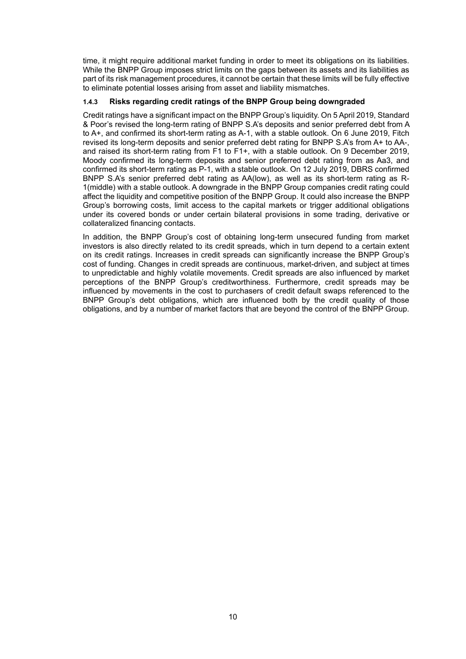time, it might require additional market funding in order to meet its obligations on its liabilities. While the BNPP Group imposes strict limits on the gaps between its assets and its liabilities as part of its risk management procedures, it cannot be certain that these limits will be fully effective to eliminate potential losses arising from asset and liability mismatches.

## <span id="page-9-0"></span>**1.4.3 Risks regarding credit ratings of the BNPP Group being downgraded**

Credit ratings have a significant impact on the BNPP Group's liquidity. On 5 April 2019, Standard & Poor's revised the long-term rating of BNPP S.A's deposits and senior preferred debt from A to A+, and confirmed its short-term rating as A-1, with a stable outlook. On 6 June 2019, Fitch revised its long-term deposits and senior preferred debt rating for BNPP S.A's from A+ to AA-, and raised its short-term rating from F1 to F1+, with a stable outlook. On 9 December 2019, Moody confirmed its long-term deposits and senior preferred debt rating from as Aa3, and confirmed its short-term rating as P-1, with a stable outlook. On 12 July 2019, DBRS confirmed BNPP S.A's senior preferred debt rating as AA(low), as well as its short-term rating as R-1(middle) with a stable outlook. A downgrade in the BNPP Group companies credit rating could affect the liquidity and competitive position of the BNPP Group. It could also increase the BNPP Group's borrowing costs, limit access to the capital markets or trigger additional obligations under its covered bonds or under certain bilateral provisions in some trading, derivative or collateralized financing contacts.

In addition, the BNPP Group's cost of obtaining long-term unsecured funding from market investors is also directly related to its credit spreads, which in turn depend to a certain extent on its credit ratings. Increases in credit spreads can significantly increase the BNPP Group's cost of funding. Changes in credit spreads are continuous, market-driven, and subject at times to unpredictable and highly volatile movements. Credit spreads are also influenced by market perceptions of the BNPP Group's creditworthiness. Furthermore, credit spreads may be influenced by movements in the cost to purchasers of credit default swaps referenced to the BNPP Group's debt obligations, which are influenced both by the credit quality of those obligations, and by a number of market factors that are beyond the control of the BNPP Group.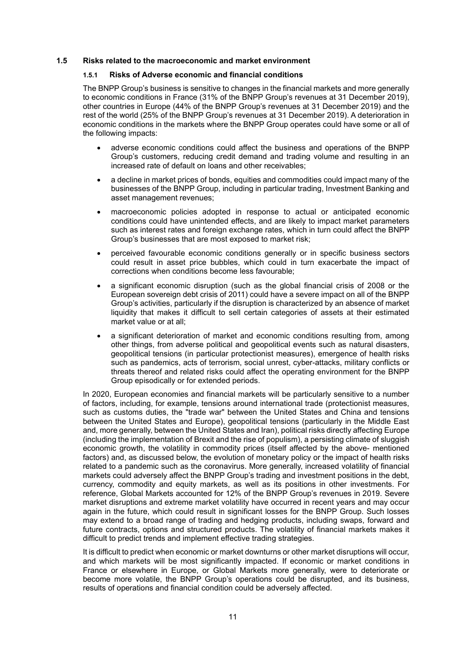#### <span id="page-10-1"></span><span id="page-10-0"></span>**1.5 Risks related to the macroeconomic and market environment**

## **1.5.1 Risks of Adverse economic and financial conditions**

The BNPP Group's business is sensitive to changes in the financial markets and more generally to economic conditions in France (31% of the BNPP Group's revenues at 31 December 2019), other countries in Europe (44% of the BNPP Group's revenues at 31 December 2019) and the rest of the world (25% of the BNPP Group's revenues at 31 December 2019). A deterioration in economic conditions in the markets where the BNPP Group operates could have some or all of the following impacts:

- adverse economic conditions could affect the business and operations of the BNPP Group's customers, reducing credit demand and trading volume and resulting in an increased rate of default on loans and other receivables;
- a decline in market prices of bonds, equities and commodities could impact many of the businesses of the BNPP Group, including in particular trading, Investment Banking and asset management revenues;
- macroeconomic policies adopted in response to actual or anticipated economic conditions could have unintended effects, and are likely to impact market parameters such as interest rates and foreign exchange rates, which in turn could affect the BNPP Group's businesses that are most exposed to market risk;
- perceived favourable economic conditions generally or in specific business sectors could result in asset price bubbles, which could in turn exacerbate the impact of corrections when conditions become less favourable;
- a significant economic disruption (such as the global financial crisis of 2008 or the European sovereign debt crisis of 2011) could have a severe impact on all of the BNPP Group's activities, particularly if the disruption is characterized by an absence of market liquidity that makes it difficult to sell certain categories of assets at their estimated market value or at all;
- a significant deterioration of market and economic conditions resulting from, among other things, from adverse political and geopolitical events such as natural disasters, geopolitical tensions (in particular protectionist measures), emergence of health risks such as pandemics, acts of terrorism, social unrest, cyber-attacks, military conflicts or threats thereof and related risks could affect the operating environment for the BNPP Group episodically or for extended periods.

In 2020, European economies and financial markets will be particularly sensitive to a number of factors, including, for example, tensions around international trade (protectionist measures, such as customs duties, the "trade war" between the United States and China and tensions between the United States and Europe), geopolitical tensions (particularly in the Middle East and, more generally, between the United States and Iran), political risks directly affecting Europe (including the implementation of Brexit and the rise of populism), a persisting climate of sluggish economic growth, the volatility in commodity prices (itself affected by the above- mentioned factors) and, as discussed below, the evolution of monetary policy or the impact of health risks related to a pandemic such as the coronavirus. More generally, increased volatility of financial markets could adversely affect the BNPP Group's trading and investment positions in the debt, currency, commodity and equity markets, as well as its positions in other investments. For reference, Global Markets accounted for 12% of the BNPP Group's revenues in 2019. Severe market disruptions and extreme market volatility have occurred in recent years and may occur again in the future, which could result in significant losses for the BNPP Group. Such losses may extend to a broad range of trading and hedging products, including swaps, forward and future contracts, options and structured products. The volatility of financial markets makes it difficult to predict trends and implement effective trading strategies.

It is difficult to predict when economic or market downturns or other market disruptions will occur, and which markets will be most significantly impacted. If economic or market conditions in France or elsewhere in Europe, or Global Markets more generally, were to deteriorate or become more volatile, the BNPP Group's operations could be disrupted, and its business, results of operations and financial condition could be adversely affected.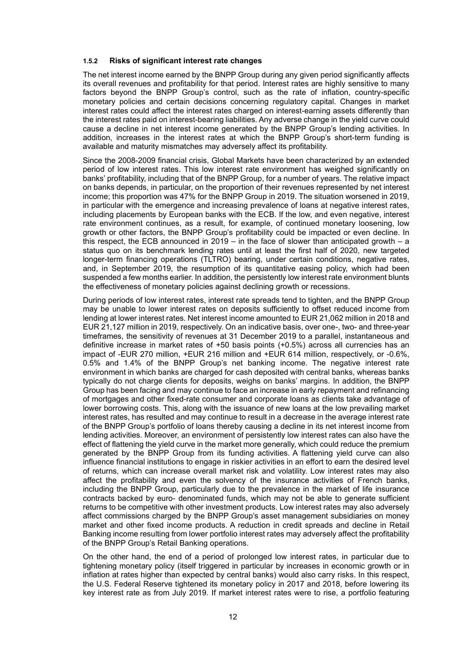#### <span id="page-11-0"></span>**1.5.2 Risks of significant interest rate changes**

The net interest income earned by the BNPP Group during any given period significantly affects its overall revenues and profitability for that period. Interest rates are highly sensitive to many factors beyond the BNPP Group's control, such as the rate of inflation, country-specific monetary policies and certain decisions concerning regulatory capital. Changes in market interest rates could affect the interest rates charged on interest-earning assets differently than the interest rates paid on interest-bearing liabilities. Any adverse change in the yield curve could cause a decline in net interest income generated by the BNPP Group's lending activities. In addition, increases in the interest rates at which the BNPP Group's short-term funding is available and maturity mismatches may adversely affect its profitability.

Since the 2008-2009 financial crisis, Global Markets have been characterized by an extended period of low interest rates. This low interest rate environment has weighed significantly on banks' profitability, including that of the BNPP Group, for a number of years. The relative impact on banks depends, in particular, on the proportion of their revenues represented by net interest income; this proportion was 47% for the BNPP Group in 2019. The situation worsened in 2019, in particular with the emergence and increasing prevalence of loans at negative interest rates, including placements by European banks with the ECB. If the low, and even negative, interest rate environment continues, as a result, for example, of continued monetary loosening, low growth or other factors, the BNPP Group's profitability could be impacted or even decline. In this respect, the ECB announced in  $2019 - in$  the face of slower than anticipated growth  $- a$ status quo on its benchmark lending rates until at least the first half of 2020, new targeted longer-term financing operations (TLTRO) bearing, under certain conditions, negative rates, and, in September 2019, the resumption of its quantitative easing policy, which had been suspended a few months earlier. In addition, the persistently low interest rate environment blunts the effectiveness of monetary policies against declining growth or recessions.

During periods of low interest rates, interest rate spreads tend to tighten, and the BNPP Group may be unable to lower interest rates on deposits sufficiently to offset reduced income from lending at lower interest rates. Net interest income amounted to EUR 21,062 million in 2018 and EUR 21,127 million in 2019, respectively. On an indicative basis, over one-, two- and three-year timeframes, the sensitivity of revenues at 31 December 2019 to a parallel, instantaneous and definitive increase in market rates of +50 basis points (+0.5%) across all currencies has an impact of -EUR 270 million, +EUR 216 million and +EUR 614 million, respectively, or -0.6%, 0.5% and 1.4% of the BNPP Group's net banking income. The negative interest rate environment in which banks are charged for cash deposited with central banks, whereas banks typically do not charge clients for deposits, weighs on banks' margins. In addition, the BNPP Group has been facing and may continue to face an increase in early repayment and refinancing of mortgages and other fixed-rate consumer and corporate loans as clients take advantage of lower borrowing costs. This, along with the issuance of new loans at the low prevailing market interest rates, has resulted and may continue to result in a decrease in the average interest rate of the BNPP Group's portfolio of loans thereby causing a decline in its net interest income from lending activities. Moreover, an environment of persistently low interest rates can also have the effect of flattening the yield curve in the market more generally, which could reduce the premium generated by the BNPP Group from its funding activities. A flattening yield curve can also influence financial institutions to engage in riskier activities in an effort to earn the desired level of returns, which can increase overall market risk and volatility. Low interest rates may also affect the profitability and even the solvency of the insurance activities of French banks, including the BNPP Group, particularly due to the prevalence in the market of life insurance contracts backed by euro- denominated funds, which may not be able to generate sufficient returns to be competitive with other investment products. Low interest rates may also adversely affect commissions charged by the BNPP Group's asset management subsidiaries on money market and other fixed income products. A reduction in credit spreads and decline in Retail Banking income resulting from lower portfolio interest rates may adversely affect the profitability of the BNPP Group's Retail Banking operations.

On the other hand, the end of a period of prolonged low interest rates, in particular due to tightening monetary policy (itself triggered in particular by increases in economic growth or in inflation at rates higher than expected by central banks) would also carry risks. In this respect, the U.S. Federal Reserve tightened its monetary policy in 2017 and 2018, before lowering its key interest rate as from July 2019. If market interest rates were to rise, a portfolio featuring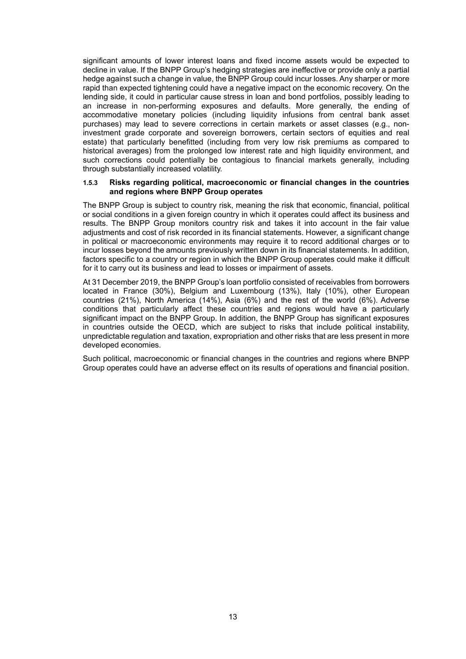significant amounts of lower interest loans and fixed income assets would be expected to decline in value. If the BNPP Group's hedging strategies are ineffective or provide only a partial hedge against such a change in value, the BNPP Group could incur losses. Any sharper or more rapid than expected tightening could have a negative impact on the economic recovery. On the lending side, it could in particular cause stress in loan and bond portfolios, possibly leading to an increase in non-performing exposures and defaults. More generally, the ending of accommodative monetary policies (including liquidity infusions from central bank asset purchases) may lead to severe corrections in certain markets or asset classes (e.g., noninvestment grade corporate and sovereign borrowers, certain sectors of equities and real estate) that particularly benefitted (including from very low risk premiums as compared to historical averages) from the prolonged low interest rate and high liquidity environment, and such corrections could potentially be contagious to financial markets generally, including through substantially increased volatility.

#### <span id="page-12-0"></span>**1.5.3 Risks regarding political, macroeconomic or financial changes in the countries and regions where BNPP Group operates**

The BNPP Group is subject to country risk, meaning the risk that economic, financial, political or social conditions in a given foreign country in which it operates could affect its business and results. The BNPP Group monitors country risk and takes it into account in the fair value adjustments and cost of risk recorded in its financial statements. However, a significant change in political or macroeconomic environments may require it to record additional charges or to incur losses beyond the amounts previously written down in its financial statements. In addition, factors specific to a country or region in which the BNPP Group operates could make it difficult for it to carry out its business and lead to losses or impairment of assets.

At 31 December 2019, the BNPP Group's loan portfolio consisted of receivables from borrowers located in France (30%), Belgium and Luxembourg (13%), Italy (10%), other European countries (21%), North America (14%), Asia (6%) and the rest of the world (6%). Adverse conditions that particularly affect these countries and regions would have a particularly significant impact on the BNPP Group. In addition, the BNPP Group has significant exposures in countries outside the OECD, which are subject to risks that include political instability, unpredictable regulation and taxation, expropriation and other risks that are less present in more developed economies.

Such political, macroeconomic or financial changes in the countries and regions where BNPP Group operates could have an adverse effect on its results of operations and financial position.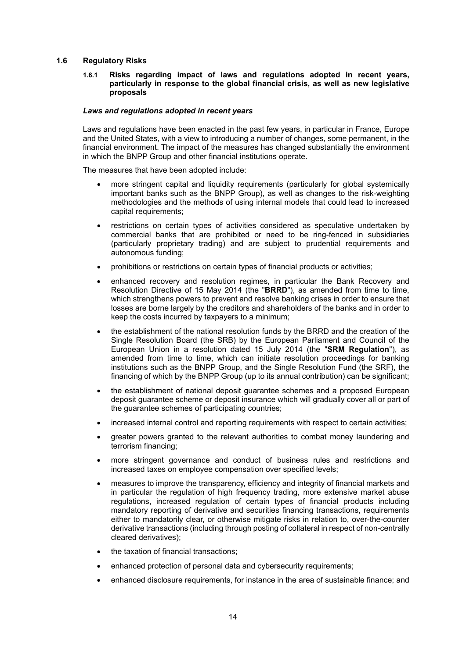#### <span id="page-13-1"></span><span id="page-13-0"></span>**1.6 Regulatory Risks**

#### **1.6.1 Risks regarding impact of laws and regulations adopted in recent years, particularly in response to the global financial crisis, as well as new legislative proposals**

#### *Laws and regulations adopted in recent years*

Laws and regulations have been enacted in the past few years, in particular in France, Europe and the United States, with a view to introducing a number of changes, some permanent, in the financial environment. The impact of the measures has changed substantially the environment in which the BNPP Group and other financial institutions operate.

The measures that have been adopted include:

- more stringent capital and liquidity requirements (particularly for global systemically important banks such as the BNPP Group), as well as changes to the risk-weighting methodologies and the methods of using internal models that could lead to increased capital requirements;
- restrictions on certain types of activities considered as speculative undertaken by commercial banks that are prohibited or need to be ring-fenced in subsidiaries (particularly proprietary trading) and are subject to prudential requirements and autonomous funding;
- prohibitions or restrictions on certain types of financial products or activities;
- enhanced recovery and resolution regimes, in particular the Bank Recovery and Resolution Directive of 15 May 2014 (the "**BRRD**"), as amended from time to time, which strengthens powers to prevent and resolve banking crises in order to ensure that losses are borne largely by the creditors and shareholders of the banks and in order to keep the costs incurred by taxpayers to a minimum;
- the establishment of the national resolution funds by the BRRD and the creation of the Single Resolution Board (the SRB) by the European Parliament and Council of the European Union in a resolution dated 15 July 2014 (the "**SRM Regulation**"), as amended from time to time, which can initiate resolution proceedings for banking institutions such as the BNPP Group, and the Single Resolution Fund (the SRF), the financing of which by the BNPP Group (up to its annual contribution) can be significant;
- the establishment of national deposit guarantee schemes and a proposed European deposit guarantee scheme or deposit insurance which will gradually cover all or part of the guarantee schemes of participating countries;
- increased internal control and reporting requirements with respect to certain activities;
- greater powers granted to the relevant authorities to combat money laundering and terrorism financing;
- more stringent governance and conduct of business rules and restrictions and increased taxes on employee compensation over specified levels;
- measures to improve the transparency, efficiency and integrity of financial markets and in particular the regulation of high frequency trading, more extensive market abuse regulations, increased regulation of certain types of financial products including mandatory reporting of derivative and securities financing transactions, requirements either to mandatorily clear, or otherwise mitigate risks in relation to, over-the-counter derivative transactions (including through posting of collateral in respect of non-centrally cleared derivatives);
- the taxation of financial transactions;
- enhanced protection of personal data and cybersecurity requirements;
- enhanced disclosure requirements, for instance in the area of sustainable finance; and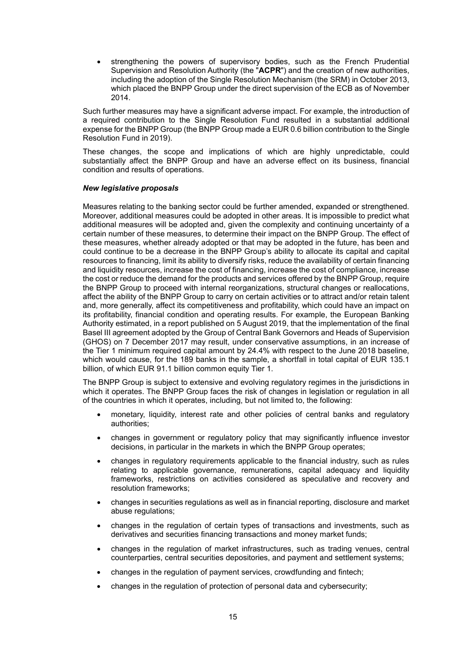• strengthening the powers of supervisory bodies, such as the French Prudential Supervision and Resolution Authority (the "**ACPR**") and the creation of new authorities, including the adoption of the Single Resolution Mechanism (the SRM) in October 2013, which placed the BNPP Group under the direct supervision of the ECB as of November 2014.

Such further measures may have a significant adverse impact. For example, the introduction of a required contribution to the Single Resolution Fund resulted in a substantial additional expense for the BNPP Group (the BNPP Group made a EUR 0.6 billion contribution to the Single Resolution Fund in 2019).

These changes, the scope and implications of which are highly unpredictable, could substantially affect the BNPP Group and have an adverse effect on its business, financial condition and results of operations.

#### *New legislative proposals*

Measures relating to the banking sector could be further amended, expanded or strengthened. Moreover, additional measures could be adopted in other areas. It is impossible to predict what additional measures will be adopted and, given the complexity and continuing uncertainty of a certain number of these measures, to determine their impact on the BNPP Group. The effect of these measures, whether already adopted or that may be adopted in the future, has been and could continue to be a decrease in the BNPP Group's ability to allocate its capital and capital resources to financing, limit its ability to diversify risks, reduce the availability of certain financing and liquidity resources, increase the cost of financing, increase the cost of compliance, increase the cost or reduce the demand for the products and services offered by the BNPP Group, require the BNPP Group to proceed with internal reorganizations, structural changes or reallocations, affect the ability of the BNPP Group to carry on certain activities or to attract and/or retain talent and, more generally, affect its competitiveness and profitability, which could have an impact on its profitability, financial condition and operating results. For example, the European Banking Authority estimated, in a report published on 5 August 2019, that the implementation of the final Basel III agreement adopted by the Group of Central Bank Governors and Heads of Supervision (GHOS) on 7 December 2017 may result, under conservative assumptions, in an increase of the Tier 1 minimum required capital amount by 24.4% with respect to the June 2018 baseline, which would cause, for the 189 banks in the sample, a shortfall in total capital of EUR 135.1 billion, of which EUR 91.1 billion common equity Tier 1.

The BNPP Group is subject to extensive and evolving regulatory regimes in the jurisdictions in which it operates. The BNPP Group faces the risk of changes in legislation or regulation in all of the countries in which it operates, including, but not limited to, the following:

- monetary, liquidity, interest rate and other policies of central banks and regulatory authorities;
- changes in government or regulatory policy that may significantly influence investor decisions, in particular in the markets in which the BNPP Group operates;
- changes in regulatory requirements applicable to the financial industry, such as rules relating to applicable governance, remunerations, capital adequacy and liquidity frameworks, restrictions on activities considered as speculative and recovery and resolution frameworks;
- changes in securities regulations as well as in financial reporting, disclosure and market abuse regulations;
- changes in the regulation of certain types of transactions and investments, such as derivatives and securities financing transactions and money market funds;
- changes in the regulation of market infrastructures, such as trading venues, central counterparties, central securities depositories, and payment and settlement systems;
- changes in the regulation of payment services, crowdfunding and fintech;
- changes in the regulation of protection of personal data and cybersecurity;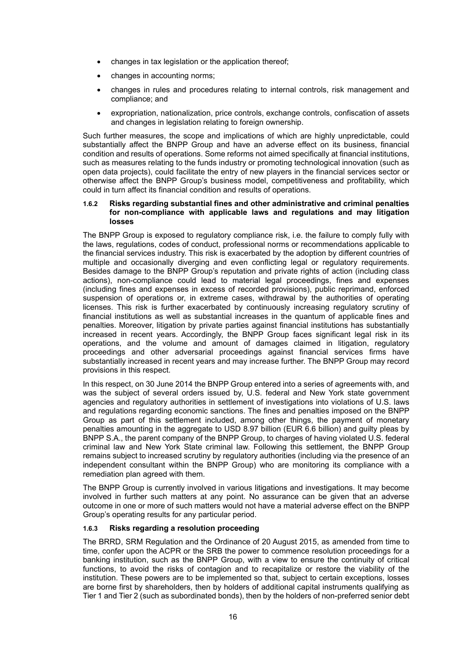- changes in tax legislation or the application thereof;
- changes in accounting norms;
- changes in rules and procedures relating to internal controls, risk management and compliance; and
- expropriation, nationalization, price controls, exchange controls, confiscation of assets and changes in legislation relating to foreign ownership.

Such further measures, the scope and implications of which are highly unpredictable, could substantially affect the BNPP Group and have an adverse effect on its business, financial condition and results of operations. Some reforms not aimed specifically at financial institutions, such as measures relating to the funds industry or promoting technological innovation (such as open data projects), could facilitate the entry of new players in the financial services sector or otherwise affect the BNPP Group's business model, competitiveness and profitability, which could in turn affect its financial condition and results of operations.

#### <span id="page-15-0"></span>**1.6.2 Risks regarding substantial fines and other administrative and criminal penalties for non-compliance with applicable laws and regulations and may litigation losses**

The BNPP Group is exposed to regulatory compliance risk, i.e. the failure to comply fully with the laws, regulations, codes of conduct, professional norms or recommendations applicable to the financial services industry. This risk is exacerbated by the adoption by different countries of multiple and occasionally diverging and even conflicting legal or regulatory requirements. Besides damage to the BNPP Group's reputation and private rights of action (including class actions), non-compliance could lead to material legal proceedings, fines and expenses (including fines and expenses in excess of recorded provisions), public reprimand, enforced suspension of operations or, in extreme cases, withdrawal by the authorities of operating licenses. This risk is further exacerbated by continuously increasing regulatory scrutiny of financial institutions as well as substantial increases in the quantum of applicable fines and penalties. Moreover, litigation by private parties against financial institutions has substantially increased in recent years. Accordingly, the BNPP Group faces significant legal risk in its operations, and the volume and amount of damages claimed in litigation, regulatory proceedings and other adversarial proceedings against financial services firms have substantially increased in recent years and may increase further. The BNPP Group may record provisions in this respect.

In this respect, on 30 June 2014 the BNPP Group entered into a series of agreements with, and was the subject of several orders issued by, U.S. federal and New York state government agencies and regulatory authorities in settlement of investigations into violations of U.S. laws and regulations regarding economic sanctions. The fines and penalties imposed on the BNPP Group as part of this settlement included, among other things, the payment of monetary penalties amounting in the aggregate to USD 8.97 billion (EUR 6.6 billion) and guilty pleas by BNPP S.A., the parent company of the BNPP Group, to charges of having violated U.S. federal criminal law and New York State criminal law. Following this settlement, the BNPP Group remains subject to increased scrutiny by regulatory authorities (including via the presence of an independent consultant within the BNPP Group) who are monitoring its compliance with a remediation plan agreed with them.

The BNPP Group is currently involved in various litigations and investigations. It may become involved in further such matters at any point. No assurance can be given that an adverse outcome in one or more of such matters would not have a material adverse effect on the BNPP Group's operating results for any particular period.

## <span id="page-15-1"></span>**1.6.3 Risks regarding a resolution proceeding**

The BRRD, SRM Regulation and the Ordinance of 20 August 2015, as amended from time to time, confer upon the ACPR or the SRB the power to commence resolution proceedings for a banking institution, such as the BNPP Group, with a view to ensure the continuity of critical functions, to avoid the risks of contagion and to recapitalize or restore the viability of the institution. These powers are to be implemented so that, subject to certain exceptions, losses are borne first by shareholders, then by holders of additional capital instruments qualifying as Tier 1 and Tier 2 (such as subordinated bonds), then by the holders of non-preferred senior debt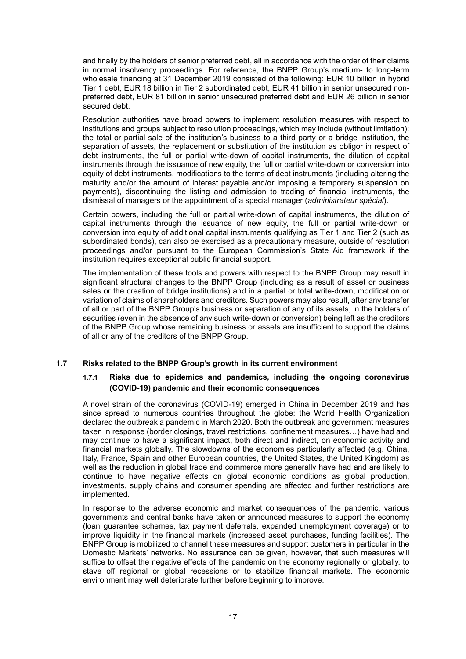and finally by the holders of senior preferred debt, all in accordance with the order of their claims in normal insolvency proceedings. For reference, the BNPP Group's medium- to long-term wholesale financing at 31 December 2019 consisted of the following: EUR 10 billion in hybrid Tier 1 debt, EUR 18 billion in Tier 2 subordinated debt, EUR 41 billion in senior unsecured nonpreferred debt, EUR 81 billion in senior unsecured preferred debt and EUR 26 billion in senior secured debt.

Resolution authorities have broad powers to implement resolution measures with respect to institutions and groups subject to resolution proceedings, which may include (without limitation): the total or partial sale of the institution's business to a third party or a bridge institution, the separation of assets, the replacement or substitution of the institution as obligor in respect of debt instruments, the full or partial write-down of capital instruments, the dilution of capital instruments through the issuance of new equity, the full or partial write-down or conversion into equity of debt instruments, modifications to the terms of debt instruments (including altering the maturity and/or the amount of interest payable and/or imposing a temporary suspension on payments), discontinuing the listing and admission to trading of financial instruments, the dismissal of managers or the appointment of a special manager (*administrateur spécial*).

Certain powers, including the full or partial write-down of capital instruments, the dilution of capital instruments through the issuance of new equity, the full or partial write-down or conversion into equity of additional capital instruments qualifying as Tier 1 and Tier 2 (such as subordinated bonds), can also be exercised as a precautionary measure, outside of resolution proceedings and/or pursuant to the European Commission's State Aid framework if the institution requires exceptional public financial support.

The implementation of these tools and powers with respect to the BNPP Group may result in significant structural changes to the BNPP Group (including as a result of asset or business sales or the creation of bridge institutions) and in a partial or total write-down, modification or variation of claims of shareholders and creditors. Such powers may also result, after any transfer of all or part of the BNPP Group's business or separation of any of its assets, in the holders of securities (even in the absence of any such write-down or conversion) being left as the creditors of the BNPP Group whose remaining business or assets are insufficient to support the claims of all or any of the creditors of the BNPP Group.

## <span id="page-16-1"></span><span id="page-16-0"></span>**1.7 Risks related to the BNPP Group's growth in its current environment**

## **1.7.1 Risks due to epidemics and pandemics, including the ongoing coronavirus (COVID-19) pandemic and their economic consequences**

A novel strain of the coronavirus (COVID-19) emerged in China in December 2019 and has since spread to numerous countries throughout the globe; the World Health Organization declared the outbreak a pandemic in March 2020. Both the outbreak and government measures taken in response (border closings, travel restrictions, confinement measures…) have had and may continue to have a significant impact, both direct and indirect, on economic activity and financial markets globally. The slowdowns of the economies particularly affected (e.g. China, Italy, France, Spain and other European countries, the United States, the United Kingdom) as well as the reduction in global trade and commerce more generally have had and are likely to continue to have negative effects on global economic conditions as global production, investments, supply chains and consumer spending are affected and further restrictions are implemented.

In response to the adverse economic and market consequences of the pandemic, various governments and central banks have taken or announced measures to support the economy (loan guarantee schemes, tax payment deferrals, expanded unemployment coverage) or to improve liquidity in the financial markets (increased asset purchases, funding facilities). The BNPP Group is mobilized to channel these measures and support customers in particular in the Domestic Markets' networks. No assurance can be given, however, that such measures will suffice to offset the negative effects of the pandemic on the economy regionally or globally, to stave off regional or global recessions or to stabilize financial markets. The economic environment may well deteriorate further before beginning to improve.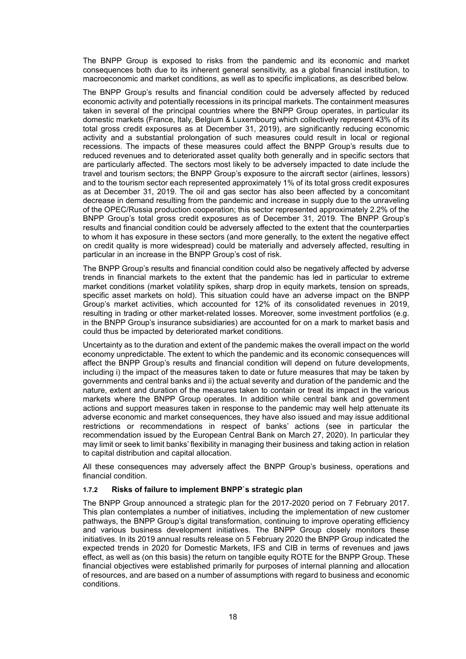The BNPP Group is exposed to risks from the pandemic and its economic and market consequences both due to its inherent general sensitivity, as a global financial institution, to macroeconomic and market conditions, as well as to specific implications, as described below.

The BNPP Group's results and financial condition could be adversely affected by reduced economic activity and potentially recessions in its principal markets. The containment measures taken in several of the principal countries where the BNPP Group operates, in particular its domestic markets (France, Italy, Belgium & Luxembourg which collectively represent 43% of its total gross credit exposures as at December 31, 2019), are significantly reducing economic activity and a substantial prolongation of such measures could result in local or regional recessions. The impacts of these measures could affect the BNPP Group's results due to reduced revenues and to deteriorated asset quality both generally and in specific sectors that are particularly affected. The sectors most likely to be adversely impacted to date include the travel and tourism sectors; the BNPP Group's exposure to the aircraft sector (airlines, lessors) and to the tourism sector each represented approximately 1% of its total gross credit exposures as at December 31, 2019. The oil and gas sector has also been affected by a concomitant decrease in demand resulting from the pandemic and increase in supply due to the unraveling of the OPEC/Russia production cooperation; this sector represented approximately 2.2% of the BNPP Group's total gross credit exposures as of December 31, 2019. The BNPP Group's results and financial condition could be adversely affected to the extent that the counterparties to whom it has exposure in these sectors (and more generally, to the extent the negative effect on credit quality is more widespread) could be materially and adversely affected, resulting in particular in an increase in the BNPP Group's cost of risk.

The BNPP Group's results and financial condition could also be negatively affected by adverse trends in financial markets to the extent that the pandemic has led in particular to extreme market conditions (market volatility spikes, sharp drop in equity markets, tension on spreads, specific asset markets on hold). This situation could have an adverse impact on the BNPP Group's market activities, which accounted for 12% of its consolidated revenues in 2019, resulting in trading or other market-related losses. Moreover, some investment portfolios (e.g. in the BNPP Group's insurance subsidiaries) are accounted for on a mark to market basis and could thus be impacted by deteriorated market conditions.

Uncertainty as to the duration and extent of the pandemic makes the overall impact on the world economy unpredictable. The extent to which the pandemic and its economic consequences will affect the BNPP Group's results and financial condition will depend on future developments, including i) the impact of the measures taken to date or future measures that may be taken by governments and central banks and ii) the actual severity and duration of the pandemic and the nature, extent and duration of the measures taken to contain or treat its impact in the various markets where the BNPP Group operates. In addition while central bank and government actions and support measures taken in response to the pandemic may well help attenuate its adverse economic and market consequences, they have also issued and may issue additional restrictions or recommendations in respect of banks' actions (see in particular the recommendation issued by the European Central Bank on March 27, 2020). In particular they may limit or seek to limit banks' flexibility in managing their business and taking action in relation to capital distribution and capital allocation.

All these consequences may adversely affect the BNPP Group's business, operations and financial condition.

## <span id="page-17-0"></span>**1.7.2 Risks of failure to implement BNPP`s strategic plan**

The BNPP Group announced a strategic plan for the 2017-2020 period on 7 February 2017. This plan contemplates a number of initiatives, including the implementation of new customer pathways, the BNPP Group's digital transformation, continuing to improve operating efficiency and various business development initiatives. The BNPP Group closely monitors these initiatives. In its 2019 annual results release on 5 February 2020 the BNPP Group indicated the expected trends in 2020 for Domestic Markets, IFS and CIB in terms of revenues and jaws effect, as well as (on this basis) the return on tangible equity ROTE for the BNPP Group. These financial objectives were established primarily for purposes of internal planning and allocation of resources, and are based on a number of assumptions with regard to business and economic conditions.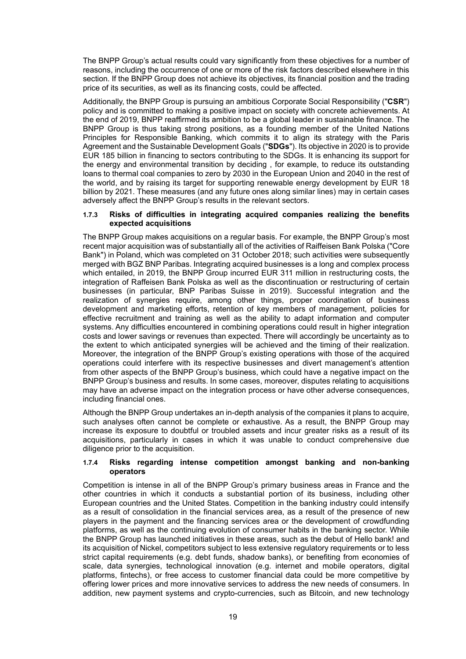The BNPP Group's actual results could vary significantly from these objectives for a number of reasons, including the occurrence of one or more of the risk factors described elsewhere in this section. If the BNPP Group does not achieve its objectives, its financial position and the trading price of its securities, as well as its financing costs, could be affected.

Additionally, the BNPP Group is pursuing an ambitious Corporate Social Responsibility ("**CSR**") policy and is committed to making a positive impact on society with concrete achievements. At the end of 2019, BNPP reaffirmed its ambition to be a global leader in sustainable finance. The BNPP Group is thus taking strong positions, as a founding member of the United Nations Principles for Responsible Banking, which commits it to align its strategy with the Paris Agreement and the Sustainable Development Goals ("**SDGs**"). Its objective in 2020 is to provide EUR 185 billion in financing to sectors contributing to the SDGs. It is enhancing its support for the energy and environmental transition by deciding , for example, to reduce its outstanding loans to thermal coal companies to zero by 2030 in the European Union and 2040 in the rest of the world, and by raising its target for supporting renewable energy development by EUR 18 billion by 2021. These measures (and any future ones along similar lines) may in certain cases adversely affect the BNPP Group's results in the relevant sectors.

#### <span id="page-18-0"></span>**1.7.3 Risks of difficulties in integrating acquired companies realizing the benefits expected acquisitions**

The BNPP Group makes acquisitions on a regular basis. For example, the BNPP Group's most recent major acquisition was of substantially all of the activities of Raiffeisen Bank Polska ("Core Bank") in Poland, which was completed on 31 October 2018; such activities were subsequently merged with BGZ BNP Paribas. Integrating acquired businesses is a long and complex process which entailed, in 2019, the BNPP Group incurred EUR 311 million in restructuring costs, the integration of Raffeisen Bank Polska as well as the discontinuation or restructuring of certain businesses (in particular, BNP Paribas Suisse in 2019). Successful integration and the realization of synergies require, among other things, proper coordination of business development and marketing efforts, retention of key members of management, policies for effective recruitment and training as well as the ability to adapt information and computer systems. Any difficulties encountered in combining operations could result in higher integration costs and lower savings or revenues than expected. There will accordingly be uncertainty as to the extent to which anticipated synergies will be achieved and the timing of their realization. Moreover, the integration of the BNPP Group's existing operations with those of the acquired operations could interfere with its respective businesses and divert management's attention from other aspects of the BNPP Group's business, which could have a negative impact on the BNPP Group's business and results. In some cases, moreover, disputes relating to acquisitions may have an adverse impact on the integration process or have other adverse consequences, including financial ones.

Although the BNPP Group undertakes an in-depth analysis of the companies it plans to acquire, such analyses often cannot be complete or exhaustive. As a result, the BNPP Group may increase its exposure to doubtful or troubled assets and incur greater risks as a result of its acquisitions, particularly in cases in which it was unable to conduct comprehensive due diligence prior to the acquisition.

#### <span id="page-18-1"></span>**1.7.4 Risks regarding intense competition amongst banking and non-banking operators**

Competition is intense in all of the BNPP Group's primary business areas in France and the other countries in which it conducts a substantial portion of its business, including other European countries and the United States. Competition in the banking industry could intensify as a result of consolidation in the financial services area, as a result of the presence of new players in the payment and the financing services area or the development of crowdfunding platforms, as well as the continuing evolution of consumer habits in the banking sector. While the BNPP Group has launched initiatives in these areas, such as the debut of Hello bank! and its acquisition of Nickel, competitors subject to less extensive regulatory requirements or to less strict capital requirements (e.g. debt funds, shadow banks), or benefiting from economies of scale, data synergies, technological innovation (e.g. internet and mobile operators, digital platforms, fintechs), or free access to customer financial data could be more competitive by offering lower prices and more innovative services to address the new needs of consumers. In addition, new payment systems and crypto-currencies, such as Bitcoin, and new technology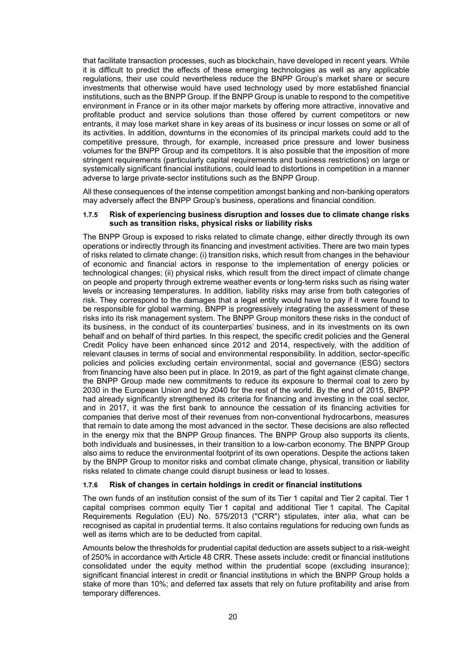that facilitate transaction processes, such as blockchain, have developed in recent years. While it is difficult to predict the effects of these emerging technologies as well as any applicable regulations, their use could nevertheless reduce the BNPP Group's market share or secure investments that otherwise would have used technology used by more established financial institutions, such as the BNPP Group. If the BNPP Group is unable to respond to the competitive environment in France or in its other major markets by offering more attractive, innovative and profitable product and service solutions than those offered by current competitors or new entrants, it may lose market share in key areas of its business or incur losses on some or all of its activities. In addition, downturns in the economies of its principal markets could add to the competitive pressure, through, for example, increased price pressure and lower business volumes for the BNPP Group and its competitors. It is also possible that the imposition of more stringent requirements (particularly capital requirements and business restrictions) on large or systemically significant financial institutions, could lead to distortions in competition in a manner adverse to large private-sector institutions such as the BNPP Group.

All these consequences of the intense competition amongst banking and non-banking operators may adversely affect the BNPP Group's business, operations and financial condition.

#### <span id="page-19-0"></span>**1.7.5 Risk of experiencing business disruption and losses due to climate change risks such as transition risks, physical risks or liability risks**

The BNPP Group is exposed to risks related to climate change, either directly through its own operations or indirectly through its financing and investment activities. There are two main types of risks related to climate change: (i) transition risks, which result from changes in the behaviour of economic and financial actors in response to the implementation of energy policies or technological changes; (ii) physical risks, which result from the direct impact of climate change on people and property through extreme weather events or long-term risks such as rising water levels or increasing temperatures. In addition, liability risks may arise from both categories of risk. They correspond to the damages that a legal entity would have to pay if it were found to be responsible for global warming. BNPP is progressively integrating the assessment of these risks into its risk management system. The BNPP Group monitors these risks in the conduct of its business, in the conduct of its counterparties' business, and in its investments on its own behalf and on behalf of third parties. In this respect, the specific credit policies and the General Credit Policy have been enhanced since 2012 and 2014, respectively, with the addition of relevant clauses in terms of social and environmental responsibility. In addition, sector-specific policies and policies excluding certain environmental, social and governance (ESG) sectors from financing have also been put in place. In 2019, as part of the fight against climate change, the BNPP Group made new commitments to reduce its exposure to thermal coal to zero by 2030 in the European Union and by 2040 for the rest of the world. By the end of 2015, BNPP had already significantly strengthened its criteria for financing and investing in the coal sector, and in 2017, it was the first bank to announce the cessation of its financing activities for companies that derive most of their revenues from non-conventional hydrocarbons, measures that remain to date among the most advanced in the sector. These decisions are also reflected in the energy mix that the BNPP Group finances. The BNPP Group also supports its clients, both individuals and businesses, in their transition to a low-carbon economy. The BNPP Group also aims to reduce the environmental footprint of its own operations. Despite the actions taken by the BNPP Group to monitor risks and combat climate change, physical, transition or liability risks related to climate change could disrupt business or lead to losses.

## <span id="page-19-1"></span>**1.7.6 Risk of changes in certain holdings in credit or financial institutions**

The own funds of an institution consist of the sum of its Tier 1 capital and Tier 2 capital. Tier 1 capital comprises common equity Tier 1 capital and additional Tier 1 capital. The Capital Requirements Regulation (EU) No. 575/2013 ("CRR") stipulates, inter alia, what can be recognised as capital in prudential terms. It also contains regulations for reducing own funds as well as items which are to be deducted from capital.

Amounts below the thresholds for prudential capital deduction are assets subject to a risk-weight of 250% in accordance with Article 48 CRR. These assets include: credit or financial institutions consolidated under the equity method within the prudential scope (excluding insurance); significant financial interest in credit or financial institutions in which the BNPP Group holds a stake of more than 10%; and deferred tax assets that rely on future profitability and arise from temporary differences.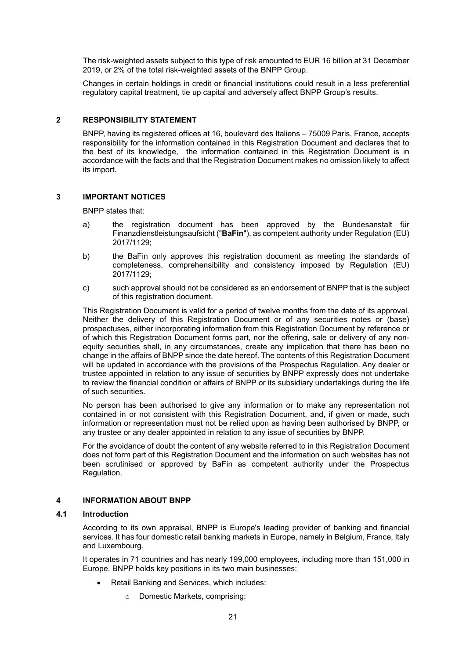The risk-weighted assets subject to this type of risk amounted to EUR 16 billion at 31 December 2019, or 2% of the total risk-weighted assets of the BNPP Group.

Changes in certain holdings in credit or financial institutions could result in a less preferential regulatory capital treatment, tie up capital and adversely affect BNPP Group's results.

#### <span id="page-20-0"></span>**2 RESPONSIBILITY STATEMENT**

BNPP, having its registered offices at 16, boulevard des Italiens – 75009 Paris, France, accepts responsibility for the information contained in this Registration Document and declares that to the best of its knowledge, the information contained in this Registration Document is in accordance with the facts and that the Registration Document makes no omission likely to affect its import.

#### <span id="page-20-1"></span>**3 IMPORTANT NOTICES**

BNPP states that:

- a) the registration document has been approved by the Bundesanstalt für Finanzdienstleistungsaufsicht ("**BaFin**"), as competent authority under Regulation (EU) 2017/1129;
- b) the BaFin only approves this registration document as meeting the standards of completeness, comprehensibility and consistency imposed by Regulation (EU) 2017/1129;
- c) such approval should not be considered as an endorsement of BNPP that is the subject of this registration document.

This Registration Document is valid for a period of twelve months from the date of its approval. Neither the delivery of this Registration Document or of any securities notes or (base) prospectuses, either incorporating information from this Registration Document by reference or of which this Registration Document forms part, nor the offering, sale or delivery of any nonequity securities shall, in any circumstances, create any implication that there has been no change in the affairs of BNPP since the date hereof. The contents of this Registration Document will be updated in accordance with the provisions of the Prospectus Regulation. Any dealer or trustee appointed in relation to any issue of securities by BNPP expressly does not undertake to review the financial condition or affairs of BNPP or its subsidiary undertakings during the life of such securities.

No person has been authorised to give any information or to make any representation not contained in or not consistent with this Registration Document, and, if given or made, such information or representation must not be relied upon as having been authorised by BNPP, or any trustee or any dealer appointed in relation to any issue of securities by BNPP.

For the avoidance of doubt the content of any website referred to in this Registration Document does not form part of this Registration Document and the information on such websites has not been scrutinised or approved by BaFin as competent authority under the Prospectus Regulation.

#### <span id="page-20-2"></span>**4 INFORMATION ABOUT BNPP**

#### <span id="page-20-3"></span>**4.1 Introduction**

According to its own appraisal, BNPP is Europe's leading provider of banking and financial services. It has four domestic retail banking markets in Europe, namely in Belgium, France, Italy and Luxembourg.

It operates in 71 countries and has nearly 199,000 employees, including more than 151,000 in Europe. BNPP holds key positions in its two main businesses:

- Retail Banking and Services, which includes:
	- o Domestic Markets, comprising: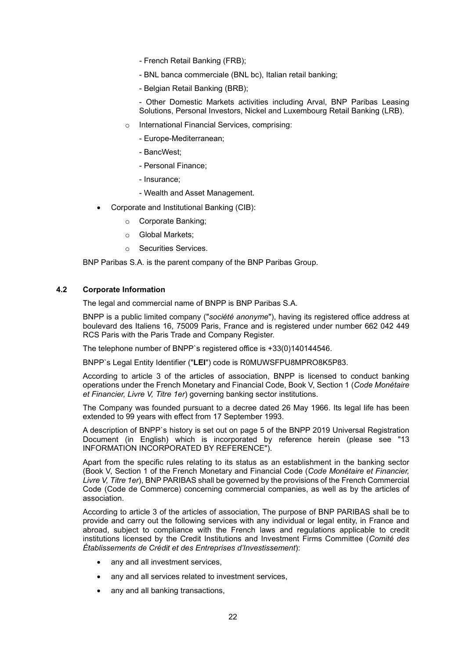- French Retail Banking (FRB);
- BNL banca commerciale (BNL bc), Italian retail banking;
- Belgian Retail Banking (BRB);

- Other Domestic Markets activities including Arval, BNP Paribas Leasing Solutions, Personal Investors, Nickel and Luxembourg Retail Banking (LRB).

- o International Financial Services, comprising:
	- Europe-Mediterranean;
	- BancWest;
	- Personal Finance;
	- Insurance;
	- Wealth and Asset Management.
- Corporate and Institutional Banking (CIB):
	- o Corporate Banking;
	- o Global Markets;
	- o Securities Services.

BNP Paribas S.A. is the parent company of the BNP Paribas Group.

#### <span id="page-21-0"></span>**4.2 Corporate Information**

The legal and commercial name of BNPP is BNP Paribas S.A.

BNPP is a public limited company ("*société anonyme*"), having its registered office address at boulevard des Italiens 16, 75009 Paris, France and is registered under number 662 042 449 RCS Paris with the Paris Trade and Company Register.

The telephone number of BNPP`s registered office is +33(0)140144546.

BNPP`s Legal Entity Identifier ("**LEI**") code is R0MUWSFPU8MPRO8K5P83.

According to article 3 of the articles of association, BNPP is licensed to conduct banking operations under the French Monetary and Financial Code, Book V, Section 1 (*Code Monétaire et Financier, Livre V, Titre 1er*) governing banking sector institutions.

The Company was founded pursuant to a decree dated 26 May 1966. Its legal life has been extended to 99 years with effect from 17 September 1993.

A description of BNPP`s history is set out on page 5 of the BNPP 2019 Universal Registration Document (in English) which is incorporated by reference herein (please see ["13](#page-29-0) INFORMATION INCORPORATED BY REFERENCE").

Apart from the specific rules relating to its status as an establishment in the banking sector (Book V, Section 1 of the French Monetary and Financial Code (*Code Monétaire et Financier, Livre V, Titre 1er*), BNP PARIBAS shall be governed by the provisions of the French Commercial Code (Code de Commerce) concerning commercial companies, as well as by the articles of association.

According to article 3 of the articles of association, The purpose of BNP PARIBAS shall be to provide and carry out the following services with any individual or legal entity, in France and abroad, subject to compliance with the French laws and regulations applicable to credit institutions licensed by the Credit Institutions and Investment Firms Committee (*Comité des Établissements de Crédit et des Entreprises d'Investissement*):

- any and all investment services,
- any and all services related to investment services,
- any and all banking transactions,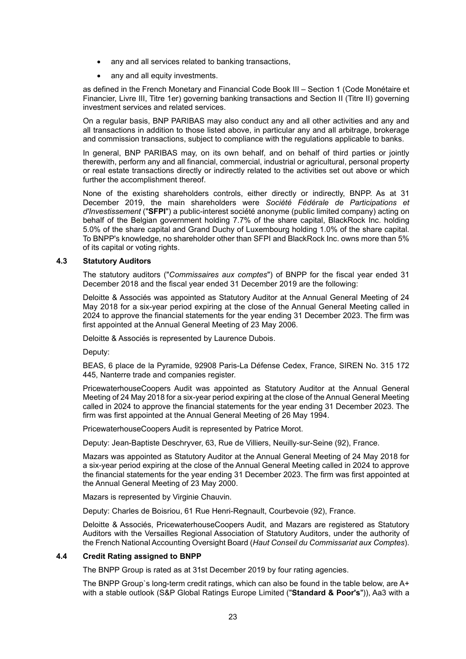- any and all services related to banking transactions,
- any and all equity investments.

as defined in the French Monetary and Financial Code Book III – Section 1 (Code Monétaire et Financier, Livre III, Titre 1er) governing banking transactions and Section II (Titre II) governing investment services and related services.

On a regular basis, BNP PARIBAS may also conduct any and all other activities and any and all transactions in addition to those listed above, in particular any and all arbitrage, brokerage and commission transactions, subject to compliance with the regulations applicable to banks.

In general, BNP PARIBAS may, on its own behalf, and on behalf of third parties or jointly therewith, perform any and all financial, commercial, industrial or agricultural, personal property or real estate transactions directly or indirectly related to the activities set out above or which further the accomplishment thereof.

None of the existing shareholders controls, either directly or indirectly, BNPP. As at 31 December 2019, the main shareholders were *Société Fédérale de Participations et d'Investissement* ("**SFPI**") a public-interest société anonyme (public limited company) acting on behalf of the Belgian government holding 7.7% of the share capital, BlackRock Inc. holding 5.0% of the share capital and Grand Duchy of Luxembourg holding 1.0% of the share capital. To BNPP's knowledge, no shareholder other than SFPI and BlackRock Inc. owns more than 5% of its capital or voting rights.

## <span id="page-22-0"></span>**4.3 Statutory Auditors**

The statutory auditors ("*Commissaires aux comptes*") of BNPP for the fiscal year ended 31 December 2018 and the fiscal year ended 31 December 2019 are the following:

Deloitte & Associés was appointed as Statutory Auditor at the Annual General Meeting of 24 May 2018 for a six-year period expiring at the close of the Annual General Meeting called in 2024 to approve the financial statements for the year ending 31 December 2023. The firm was first appointed at the Annual General Meeting of 23 May 2006.

Deloitte & Associés is represented by Laurence Dubois.

Deputy:

BEAS, 6 place de la Pyramide, 92908 Paris-La Défense Cedex, France, SIREN No. 315 172 445, Nanterre trade and companies register.

PricewaterhouseCoopers Audit was appointed as Statutory Auditor at the Annual General Meeting of 24 May 2018 for a six-year period expiring at the close of the Annual General Meeting called in 2024 to approve the financial statements for the year ending 31 December 2023. The firm was first appointed at the Annual General Meeting of 26 May 1994.

PricewaterhouseCoopers Audit is represented by Patrice Morot.

Deputy: Jean-Baptiste Deschryver, 63, Rue de Villiers, Neuilly-sur-Seine (92), France.

Mazars was appointed as Statutory Auditor at the Annual General Meeting of 24 May 2018 for a six-year period expiring at the close of the Annual General Meeting called in 2024 to approve the financial statements for the year ending 31 December 2023. The firm was first appointed at the Annual General Meeting of 23 May 2000.

Mazars is represented by Virginie Chauvin.

Deputy: Charles de Boisriou, 61 Rue Henri-Regnault, Courbevoie (92), France.

Deloitte & Associés, PricewaterhouseCoopers Audit, and Mazars are registered as Statutory Auditors with the Versailles Regional Association of Statutory Auditors, under the authority of the French National Accounting Oversight Board (*Haut Conseil du Commissariat aux Comptes*).

#### <span id="page-22-1"></span>**4.4 Credit Rating assigned to BNPP**

The BNPP Group is rated as at 31st December 2019 by four rating agencies.

The BNPP Group`s long-term credit ratings, which can also be found in the table below, are A+ with a stable outlook (S&P Global Ratings Europe Limited ("**Standard & Poor's**")), Aa3 with a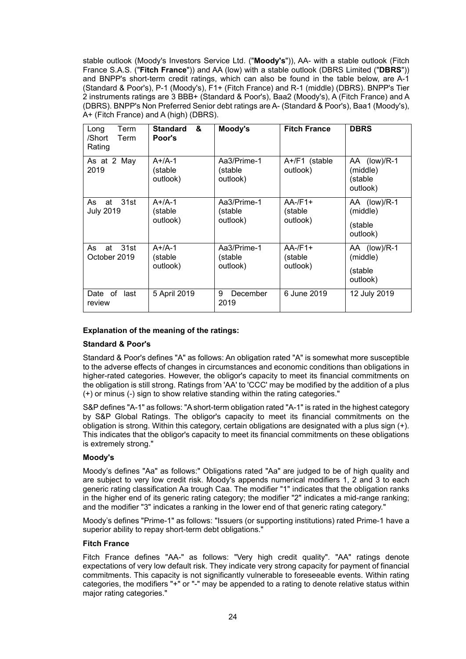stable outlook (Moody's Investors Service Ltd. ("**Moody's**")), AA- with a stable outlook (Fitch France S.A.S. ("**Fitch France**")) and AA (low) with a stable outlook (DBRS Limited ("**DBRS**")) and BNPP's short-term credit ratings, which can also be found in the table below, are A-1 (Standard & Poor's), P-1 (Moody's), F1+ (Fitch France) and R-1 (middle) (DBRS). BNPP's Tier 2 instruments ratings are 3 BBB+ (Standard & Poor's), Baa2 (Moody's), A (Fitch France) and A (DBRS). BNPP's Non Preferred Senior debt ratings are A- (Standard & Poor's), Baa1 (Moody's), A+ (Fitch France) and A (high) (DBRS).

| Term<br>Long<br>/Short<br>Term<br>Rating | &<br><b>Standard</b><br>Poor's  | Moody's                            | <b>Fitch France</b>               | <b>DBRS</b>                                     |
|------------------------------------------|---------------------------------|------------------------------------|-----------------------------------|-------------------------------------------------|
| As at 2 May<br>2019                      | $A+/A-1$<br>(stable<br>outlook) | Aa3/Prime-1<br>(stable<br>outlook) | A+/F1 (stable<br>outlook)         | AA (low)/R-1<br>(middle)<br>(stable<br>outlook) |
| – 31st<br>As<br>at<br><b>July 2019</b>   | $A+/A-1$<br>(stable<br>outlook) | Aa3/Prime-1<br>(stable<br>outlook) | $AA$ -/F1+<br>(stable<br>outlook) | AA (low)/R-1<br>(middle)<br>(stable<br>outlook) |
| 31st<br>As<br>at<br>October 2019         | $A+/A-1$<br>(stable<br>outlook) | Aa3/Prime-1<br>(stable<br>outlook) | $AA$ -/F1+<br>(stable<br>outlook) | AA (low)/R-1<br>(middle)<br>(stable<br>outlook) |
| Date of<br>last<br>review                | 5 April 2019                    | 9<br>December<br>2019              | 6 June 2019                       | 12 July 2019                                    |

## **Explanation of the meaning of the ratings:**

#### **Standard & Poor's**

Standard & Poor's defines "A" as follows: An obligation rated "A" is somewhat more susceptible to the adverse effects of changes in circumstances and economic conditions than obligations in higher-rated categories. However, the obligor's capacity to meet its financial commitments on the obligation is still strong. Ratings from 'AA' to 'CCC' may be modified by the addition of a plus (+) or minus (-) sign to show relative standing within the rating categories."

S&P defines "A-1" as follows: "A short-term obligation rated "A-1" is rated in the highest category by S&P Global Ratings. The obligor's capacity to meet its financial commitments on the obligation is strong. Within this category, certain obligations are designated with a plus sign (+). This indicates that the obligor's capacity to meet its financial commitments on these obligations is extremely strong."

#### **Moody's**

Moody's defines "Aa" as follows:" Obligations rated "Aa" are judged to be of high quality and are subject to very low credit risk. Moody's appends numerical modifiers 1, 2 and 3 to each generic rating classification Aa trough Caa. The modifier "1" indicates that the obligation ranks in the higher end of its generic rating category; the modifier "2" indicates a mid-range ranking; and the modifier "3" indicates a ranking in the lower end of that generic rating category."

Moody's defines "Prime-1" as follows: "Issuers (or supporting institutions) rated Prime-1 have a superior ability to repay short-term debt obligations."

## **Fitch France**

Fitch France defines "AA-" as follows: "Very high credit quality". "AA" ratings denote expectations of very low default risk. They indicate very strong capacity for payment of financial commitments. This capacity is not significantly vulnerable to foreseeable events. Within rating categories, the modifiers "+" or "-" may be appended to a rating to denote relative status within major rating categories."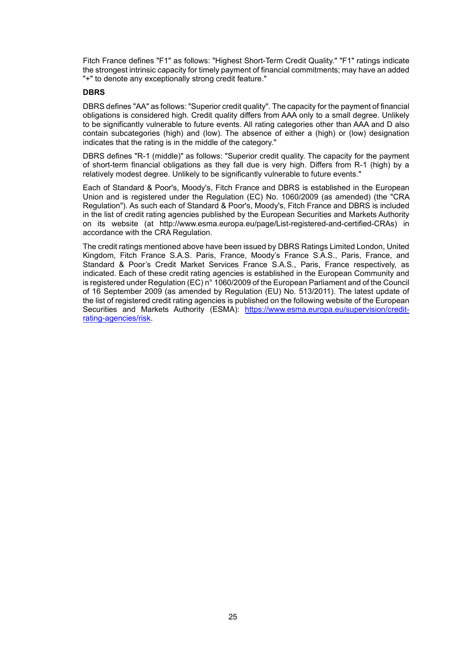Fitch France defines "F1" as follows: "Highest Short-Term Credit Quality." "F1" ratings indicate the strongest intrinsic capacity for timely payment of financial commitments; may have an added "+" to denote any exceptionally strong credit feature."

#### **DBRS**

DBRS defines "AA" as follows: "Superior credit quality". The capacity for the payment of financial obligations is considered high. Credit quality differs from AAA only to a small degree. Unlikely to be significantly vulnerable to future events. All rating categories other than AAA and D also contain subcategories (high) and (low). The absence of either a (high) or (low) designation indicates that the rating is in the middle of the category."

DBRS defines "R-1 (middle)" as follows: "Superior credit quality. The capacity for the payment of short-term financial obligations as they fall due is very high. Differs from R-1 (high) by a relatively modest degree. Unlikely to be significantly vulnerable to future events."

Each of Standard & Poor's, Moody's, Fitch France and DBRS is established in the European Union and is registered under the Regulation (EC) No. 1060/2009 (as amended) (the "CRA Regulation"). As such each of Standard & Poor's, Moody's, Fitch France and DBRS is included in the list of credit rating agencies published by the European Securities and Markets Authority on its website (at http://www.esma.europa.eu/page/List-registered-and-certified-CRAs) in accordance with the CRA Regulation.

The credit ratings mentioned above have been issued by DBRS Ratings Limited London, United Kingdom, Fitch France S.A.S. Paris, France, Moody's France S.A.S., Paris, France, and Standard & Poor's Credit Market Services France S.A.S., Paris, France respectively, as indicated. Each of these credit rating agencies is established in the European Community and is registered under Regulation (EC) n° 1060/2009 of the European Parliament and of the Council of 16 September 2009 (as amended by Regulation (EU) No. 513/2011). The latest update of the list of registered credit rating agencies is published on the following website of the European Securities and Markets Authority (ESMA): [https://www.esma.europa.eu/supervision/credit](https://www.esma.europa.eu/supervision/credit-%20rating-agencies/risk)[rating-agencies/risk.](https://www.esma.europa.eu/supervision/credit-%20rating-agencies/risk)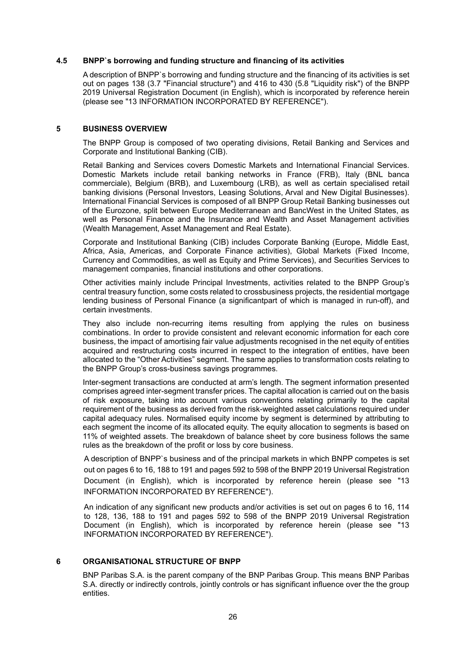#### <span id="page-25-0"></span>**4.5 BNPP`s borrowing and funding structure and financing of its activities**

A description of BNPP`s borrowing and funding structure and the financing of its activities is set out on pages 138 (3.7 "Financial structure") and 416 to 430 (5.8 "Liquidity risk") of the BNPP 2019 Universal Registration Document (in English), which is incorporated by reference herein (please see ["13](#page-29-0) INFORMATION INCORPORATED BY REFERENCE").

#### <span id="page-25-1"></span>**5 BUSINESS OVERVIEW**

The BNPP Group is composed of two operating divisions, Retail Banking and Services and Corporate and Institutional Banking (CIB).

Retail Banking and Services covers Domestic Markets and International Financial Services. Domestic Markets include retail banking networks in France (FRB), Italy (BNL banca commerciale), Belgium (BRB), and Luxembourg (LRB), as well as certain specialised retail banking divisions (Personal Investors, Leasing Solutions, Arval and New Digital Businesses). International Financial Services is composed of all BNPP Group Retail Banking businesses out of the Eurozone, split between Europe Mediterranean and BancWest in the United States, as well as Personal Finance and the Insurance and Wealth and Asset Management activities (Wealth Management, Asset Management and Real Estate).

Corporate and Institutional Banking (CIB) includes Corporate Banking (Europe, Middle East, Africa, Asia, Americas, and Corporate Finance activities), Global Markets (Fixed Income, Currency and Commodities, as well as Equity and Prime Services), and Securities Services to management companies, financial institutions and other corporations.

Other activities mainly include Principal Investments, activities related to the BNPP Group's central treasury function, some costs related to crossbusiness projects, the residential mortgage lending business of Personal Finance (a significantpart of which is managed in run-off), and certain investments.

They also include non-recurring items resulting from applying the rules on business combinations. In order to provide consistent and relevant economic information for each core business, the impact of amortising fair value adjustments recognised in the net equity of entities acquired and restructuring costs incurred in respect to the integration of entities, have been allocated to the "Other Activities" segment. The same applies to transformation costs relating to the BNPP Group's cross-business savings programmes.

Inter-segment transactions are conducted at arm's length. The segment information presented comprises agreed inter-segment transfer prices. The capital allocation is carried out on the basis of risk exposure, taking into account various conventions relating primarily to the capital requirement of the business as derived from the risk-weighted asset calculations required under capital adequacy rules. Normalised equity income by segment is determined by attributing to each segment the income of its allocated equity. The equity allocation to segments is based on 11% of weighted assets. The breakdown of balance sheet by core business follows the same rules as the breakdown of the profit or loss by core business.

A description of BNPP`s business and of the principal markets in which BNPP competes is set out on pages 6 to 16, 188 to 191 and pages 592 to 598 of the BNPP 2019 Universal Registration Document (in English), which is incorporated by reference herein (please see ["13](#page-29-0) INFORMATION INCORPORATED BY REFERENCE").

An indication of any significant new products and/or activities is set out on pages 6 to 16, 114 to 128, 136, 188 to 191 and pages 592 to 598 of the BNPP 2019 Universal Registration Document (in English), which is incorporated by reference herein (please see ["13](#page-29-0) INFORMATION INCORPORATED BY REFERENCE").

## <span id="page-25-2"></span>**6 ORGANISATIONAL STRUCTURE OF BNPP**

BNP Paribas S.A. is the parent company of the BNP Paribas Group. This means BNP Paribas S.A. directly or indirectly controls, jointly controls or has significant influence over the the group entities.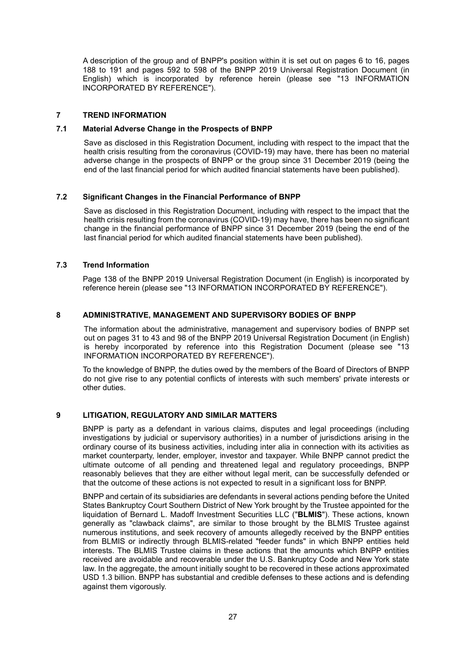A description of the group and of BNPP's position within it is set out on pages 6 to 16, pages 188 to 191 and pages 592 to 598 of the BNPP 2019 Universal Registration Document (in English) which is incorporated by reference herein (please see ["13](#page-29-0) INFORMATION INCORPORATED BY REFERENCE").

#### <span id="page-26-0"></span>**7 TREND INFORMATION**

#### <span id="page-26-1"></span>**7.1 Material Adverse Change in the Prospects of BNPP**

Save as disclosed in this Registration Document, including with respect to the impact that the health crisis resulting from the coronavirus (COVID-19) may have, there has been no material adverse change in the prospects of BNPP or the group since 31 December 2019 (being the end of the last financial period for which audited financial statements have been published).

#### <span id="page-26-2"></span>**7.2 Significant Changes in the Financial Performance of BNPP**

Save as disclosed in this Registration Document, including with respect to the impact that the health crisis resulting from the coronavirus (COVID-19) may have, there has been no significant change in the financial performance of BNPP since 31 December 2019 (being the end of the last financial period for which audited financial statements have been published).

#### <span id="page-26-3"></span>**7.3 Trend Information**

Page 138 of the BNPP 2019 Universal Registration Document (in English) is incorporated by reference herein (please see ["13](#page-29-0) INFORMATION INCORPORATED BY REFERENCE").

#### <span id="page-26-4"></span>**8 ADMINISTRATIVE, MANAGEMENT AND SUPERVISORY BODIES OF BNPP**

The information about the administrative, management and supervisory bodies of BNPP set out on pages 31 to 43 and 98 of the BNPP 2019 Universal Registration Document (in English) is hereby incorporated by reference into this Registration Document (please see ["13](#page-29-0) INFORMATION INCORPORATED BY REFERENCE").

To the knowledge of BNPP, the duties owed by the members of the Board of Directors of BNPP do not give rise to any potential conflicts of interests with such members' private interests or other duties.

## <span id="page-26-5"></span>**9 LITIGATION, REGULATORY AND SIMILAR MATTERS**

BNPP is party as a defendant in various claims, disputes and legal proceedings (including investigations by judicial or supervisory authorities) in a number of jurisdictions arising in the ordinary course of its business activities, including inter alia in connection with its activities as market counterparty, lender, employer, investor and taxpayer. While BNPP cannot predict the ultimate outcome of all pending and threatened legal and regulatory proceedings, BNPP reasonably believes that they are either without legal merit, can be successfully defended or that the outcome of these actions is not expected to result in a significant loss for BNPP.

BNPP and certain of its subsidiaries are defendants in several actions pending before the United States Bankruptcy Court Southern District of New York brought by the Trustee appointed for the liquidation of Bernard L. Madoff Investment Securities LLC ("**BLMIS**"). These actions, known generally as "clawback claims", are similar to those brought by the BLMIS Trustee against numerous institutions, and seek recovery of amounts allegedly received by the BNPP entities from BLMIS or indirectly through BLMIS-related "feeder funds" in which BNPP entities held interests. The BLMIS Trustee claims in these actions that the amounts which BNPP entities received are avoidable and recoverable under the U.S. Bankruptcy Code and New York state law. In the aggregate, the amount initially sought to be recovered in these actions approximated USD 1.3 billion. BNPP has substantial and credible defenses to these actions and is defending against them vigorously.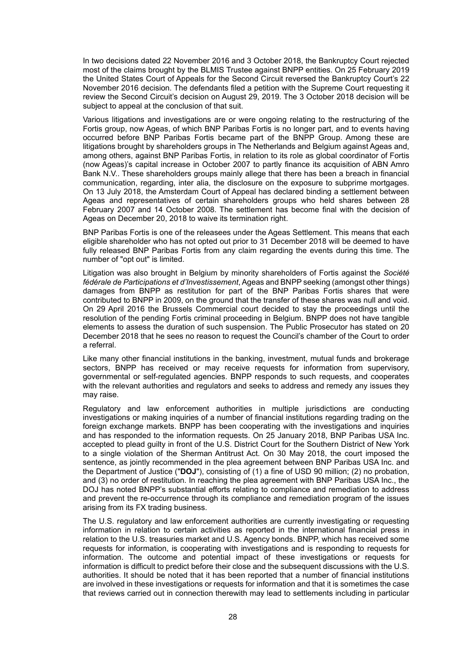In two decisions dated 22 November 2016 and 3 October 2018, the Bankruptcy Court rejected most of the claims brought by the BLMIS Trustee against BNPP entities. On 25 February 2019 the United States Court of Appeals for the Second Circuit reversed the Bankruptcy Court's 22 November 2016 decision. The defendants filed a petition with the Supreme Court requesting it review the Second Circuit's decision on August 29, 2019. The 3 October 2018 decision will be subject to appeal at the conclusion of that suit.

Various litigations and investigations are or were ongoing relating to the restructuring of the Fortis group, now Ageas, of which BNP Paribas Fortis is no longer part, and to events having occurred before BNP Paribas Fortis became part of the BNPP Group. Among these are litigations brought by shareholders groups in The Netherlands and Belgium against Ageas and, among others, against BNP Paribas Fortis, in relation to its role as global coordinator of Fortis (now Ageas)'s capital increase in October 2007 to partly finance its acquisition of ABN Amro Bank N.V.. These shareholders groups mainly allege that there has been a breach in financial communication, regarding, inter alia, the disclosure on the exposure to subprime mortgages. On 13 July 2018, the Amsterdam Court of Appeal has declared binding a settlement between Ageas and representatives of certain shareholders groups who held shares between 28 February 2007 and 14 October 2008. The settlement has become final with the decision of Ageas on December 20, 2018 to waive its termination right.

BNP Paribas Fortis is one of the releasees under the Ageas Settlement. This means that each eligible shareholder who has not opted out prior to 31 December 2018 will be deemed to have fully released BNP Paribas Fortis from any claim regarding the events during this time. The number of "opt out" is limited.

Litigation was also brought in Belgium by minority shareholders of Fortis against the *Société fédérale de Participations et d'Investissement*, Ageas and BNPP seeking (amongst other things) damages from BNPP as restitution for part of the BNP Paribas Fortis shares that were contributed to BNPP in 2009, on the ground that the transfer of these shares was null and void. On 29 April 2016 the Brussels Commercial court decided to stay the proceedings until the resolution of the pending Fortis criminal proceeding in Belgium. BNPP does not have tangible elements to assess the duration of such suspension. The Public Prosecutor has stated on 20 December 2018 that he sees no reason to request the Council's chamber of the Court to order a referral.

Like many other financial institutions in the banking, investment, mutual funds and brokerage sectors, BNPP has received or may receive requests for information from supervisory, governmental or self-regulated agencies. BNPP responds to such requests, and cooperates with the relevant authorities and regulators and seeks to address and remedy any issues they may raise.

Regulatory and law enforcement authorities in multiple jurisdictions are conducting investigations or making inquiries of a number of financial institutions regarding trading on the foreign exchange markets. BNPP has been cooperating with the investigations and inquiries and has responded to the information requests. On 25 January 2018, BNP Paribas USA Inc. accepted to plead guilty in front of the U.S. District Court for the Southern District of New York to a single violation of the Sherman Antitrust Act. On 30 May 2018, the court imposed the sentence, as jointly recommended in the plea agreement between BNP Paribas USA Inc. and the Department of Justice ("**DOJ**"), consisting of (1) a fine of USD 90 million; (2) no probation, and (3) no order of restitution. In reaching the plea agreement with BNP Paribas USA Inc., the DOJ has noted BNPP's substantial efforts relating to compliance and remediation to address and prevent the re-occurrence through its compliance and remediation program of the issues arising from its FX trading business.

The U.S. regulatory and law enforcement authorities are currently investigating or requesting information in relation to certain activities as reported in the international financial press in relation to the U.S. treasuries market and U.S. Agency bonds. BNPP, which has received some requests for information, is cooperating with investigations and is responding to requests for information. The outcome and potential impact of these investigations or requests for information is difficult to predict before their close and the subsequent discussions with the U.S. authorities. It should be noted that it has been reported that a number of financial institutions are involved in these investigations or requests for information and that it is sometimes the case that reviews carried out in connection therewith may lead to settlements including in particular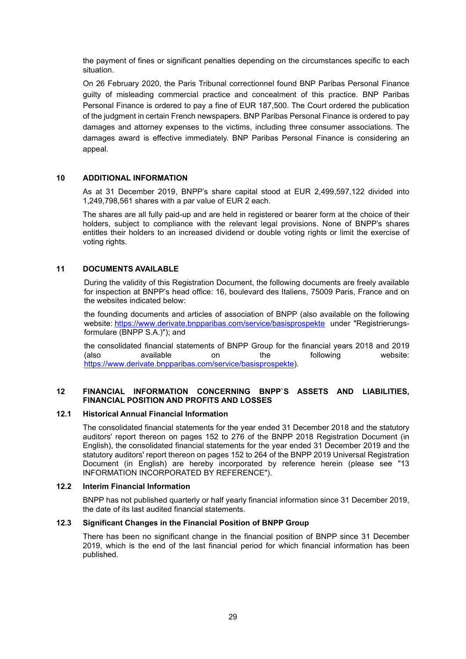the payment of fines or significant penalties depending on the circumstances specific to each situation.

On 26 February 2020, the Paris Tribunal correctionnel found BNP Paribas Personal Finance guilty of misleading commercial practice and concealment of this practice. BNP Paribas Personal Finance is ordered to pay a fine of EUR 187,500. The Court ordered the publication of the judgment in certain French newspapers. BNP Paribas Personal Finance is ordered to pay damages and attorney expenses to the victims, including three consumer associations. The damages award is effective immediately. BNP Paribas Personal Finance is considering an appeal.

## <span id="page-28-0"></span>**10 ADDITIONAL INFORMATION**

As at 31 December 2019, BNPP's share capital stood at EUR 2,499,597,122 divided into 1,249,798,561 shares with a par value of EUR 2 each.

The shares are all fully paid-up and are held in registered or bearer form at the choice of their holders, subject to compliance with the relevant legal provisions. None of BNPP's shares entitles their holders to an increased dividend or double voting rights or limit the exercise of voting rights.

#### <span id="page-28-1"></span>**11 DOCUMENTS AVAILABLE**

During the validity of this Registration Document, the following documents are freely available for inspection at BNPP's head office: 16, boulevard des Italiens, 75009 Paris, France and on the websites indicated below:

the founding documents and articles of association of BNPP (also available on the following website: <https://www.derivate.bnpparibas.com/service/basisprospekte> under "Registrierungsformulare (BNPP S.A.)"); and

the consolidated financial statements of BNPP Group for the financial years 2018 and 2019 (also available on the following website: [https://www.derivate.bnpparibas.com/service/basisprospekte\)](https://www.derivate.bnpparibas.com/service/basisprospekte).

#### <span id="page-28-2"></span>**12 FINANCIAL INFORMATION CONCERNING BNPP`S ASSETS AND LIABILITIES, FINANCIAL POSITION AND PROFITS AND LOSSES**

#### <span id="page-28-3"></span>**12.1 Historical Annual Financial Information**

The consolidated financial statements for the year ended 31 December 2018 and the statutory auditors' report thereon on pages 152 to 276 of the BNPP 2018 Registration Document (in English), the consolidated financial statements for the year ended 31 December 2019 and the statutory auditors' report thereon on pages 152 to 264 of the BNPP 2019 Universal Registration Document (in English) are hereby incorporated by reference herein (please see ["13](#page-29-0) INFORMATION INCORPORATED BY REFERENCE").

## <span id="page-28-4"></span>**12.2 Interim Financial Information**

BNPP has not published quarterly or half yearly financial information since 31 December 2019, the date of its last audited financial statements.

#### <span id="page-28-5"></span>**12.3 Significant Changes in the Financial Position of BNPP Group**

There has been no significant change in the financial position of BNPP since 31 December 2019, which is the end of the last financial period for which financial information has been published.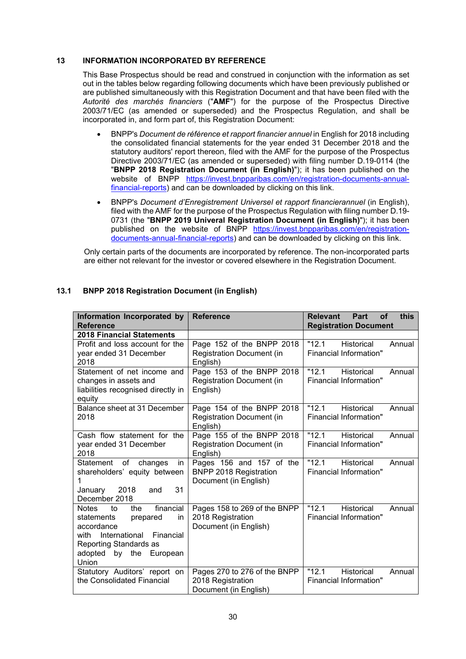## <span id="page-29-0"></span>**13 INFORMATION INCORPORATED BY REFERENCE**

This Base Prospectus should be read and construed in conjunction with the information as set out in the tables below regarding following documents which have been previously published or are published simultaneously with this Registration Document and that have been filed with the *Autorité des marchés financiers* ("**AMF**") for the purpose of the Prospectus Directive 2003/71/EC (as amended or superseded) and the Prospectus Regulation, and shall be incorporated in, and form part of, this Registration Document:

- BNPP's *Document de référence et rapport financier annuel* in English for 2018 including the consolidated financial statements for the year ended 31 December 2018 and the statutory auditors' report thereon, filed with the AMF for the purpose of the Prospectus Directive 2003/71/EC (as amended or superseded) with filing number D.19-0114 (the "**BNPP 2018 Registration Document (in English)**"); it has been published on the website of BNPP [https://invest.bnpparibas.com/en/registration-documents-annual](https://invest.bnpparibas.com/en/registration-documents-annual-financial-reports)[financial-reports\)](https://invest.bnpparibas.com/en/registration-documents-annual-financial-reports) and can be downloaded by clicking on this [link.](https://www.societegenerale.com/sites/default/files/documents/Document-d-enregistrement-universel/2019EN/societe-generale-urd-1st-amendment-08-11-2019.pdf)
- BNPP's *Document d'Enregistrement Universel et rapport financierannuel* (in English), filed with the AMF for the purpose of the Prospectus Regulation with filing number D.19- 0731 (the "**BNPP 2019 Univeral Registration Document (in English)**"); it has been published on the website of BNPP [https://invest.bnpparibas.com/en/registration](https://invest.bnpparibas.com/en/registration-documents-annual-financial-reports)[documents-annual-financial-reports\)](https://invest.bnpparibas.com/en/registration-documents-annual-financial-reports) and can be downloaded by clicking on this [link.](https://www.societegenerale.com/sites/default/files/documents/Document-d-enregistrement-universel/2019EN/societe-generale-urd-1st-amendment-08-11-2019.pdf)

Only certain parts of the documents are incorporated by reference. The non-incorporated parts are either not relevant for the investor or covered elsewhere in the Registration Document.

| Information Incorporated by<br><b>Reference</b>                                                                                                                                | <b>Reference</b>                                                                   | <b>Relevant</b><br>Part<br><b>of</b><br><b>this</b><br><b>Registration Document</b> |
|--------------------------------------------------------------------------------------------------------------------------------------------------------------------------------|------------------------------------------------------------------------------------|-------------------------------------------------------------------------------------|
| <b>2018 Financial Statements</b>                                                                                                                                               |                                                                                    |                                                                                     |
| Profit and loss account for the<br>year ended 31 December<br>2018                                                                                                              | Page 152 of the BNPP 2018<br><b>Registration Document (in</b><br>English)          | "12.1"<br><b>Historical</b><br>Annual<br>Financial Information"                     |
| Statement of net income and<br>changes in assets and<br>liabilities recognised directly in<br>equity                                                                           | Page 153 of the BNPP 2018<br><b>Registration Document (in</b><br>English)          | "12.1"<br><b>Historical</b><br>Annual<br>Financial Information"                     |
| Balance sheet at 31 December<br>2018                                                                                                                                           | Page 154 of the BNPP 2018<br><b>Registration Document (in</b><br>English)          | "12.1"<br><b>Historical</b><br>Annual<br>Financial Information"                     |
| Cash flow statement for the<br>year ended 31 December<br>2018                                                                                                                  | Page 155 of the BNPP 2018<br><b>Registration Document (in</b><br>English)          | "12.1"<br><b>Historical</b><br>Annual<br>Financial Information"                     |
| Statement of changes<br>in<br>shareholders' equity between<br>31<br>2018<br>January<br>and<br>December 2018                                                                    | Pages 156 and 157 of the<br><b>BNPP 2018 Registration</b><br>Document (in English) | "12.1"<br><b>Historical</b><br>Annual<br>Financial Information"                     |
| financial<br>Notes to<br>the<br>statements<br>prepared<br>in<br>accordance<br>with International<br>Financial<br>Reporting Standards as<br>adopted<br>by the European<br>Union | Pages 158 to 269 of the BNPP<br>2018 Registration<br>Document (in English)         | "12.1<br><b>Historical</b><br>Annual<br>Financial Information"                      |
| Statutory Auditors' report on<br>the Consolidated Financial                                                                                                                    | Pages 270 to 276 of the BNPP<br>2018 Registration<br>Document (in English)         | "12.1"<br><b>Historical</b><br>Annual<br>Financial Information"                     |

## <span id="page-29-1"></span>**13.1 BNPP 2018 Registration Document (in English)**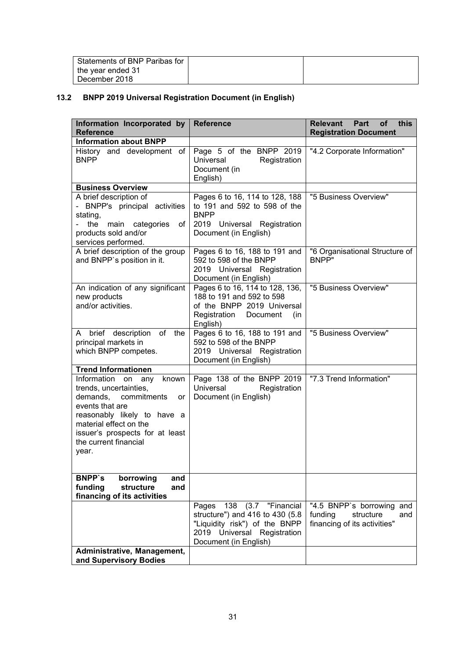| Statements of BNP Paribas for |  |
|-------------------------------|--|
| the vear ended 31             |  |
| December 2018                 |  |

# <span id="page-30-0"></span>**13.2 BNPP 2019 Universal Registration Document (in English)**

| Information Incorporated by<br><b>Reference</b>                                                                                                                                                                                         | <b>Reference</b>                                                                                                                                         | Relevant<br>Part<br>of<br>this<br><b>Registration Document</b>                           |
|-----------------------------------------------------------------------------------------------------------------------------------------------------------------------------------------------------------------------------------------|----------------------------------------------------------------------------------------------------------------------------------------------------------|------------------------------------------------------------------------------------------|
| <b>Information about BNPP</b>                                                                                                                                                                                                           |                                                                                                                                                          |                                                                                          |
| History and development of<br><b>BNPP</b>                                                                                                                                                                                               | Page 5 of the BNPP 2019<br>Universal<br>Registration<br>Document (in<br>English)                                                                         | "4.2 Corporate Information"                                                              |
| <b>Business Overview</b>                                                                                                                                                                                                                |                                                                                                                                                          |                                                                                          |
| A brief description of<br>- BNPP's principal activities<br>stating,<br>the<br>main categories<br>of<br>products sold and/or<br>services performed.                                                                                      | Pages 6 to 16, 114 to 128, 188<br>to 191 and 592 to 598 of the<br><b>BNPP</b><br>2019 Universal Registration<br>Document (in English)                    | "5 Business Overview"                                                                    |
| A brief description of the group<br>and BNPP's position in it.                                                                                                                                                                          | Pages 6 to 16, 188 to 191 and<br>592 to 598 of the BNPP<br>2019 Universal Registration<br>Document (in English)                                          | "6 Organisational Structure of<br><b>BNPP"</b>                                           |
| An indication of any significant<br>new products<br>and/or activities.                                                                                                                                                                  | Pages 6 to 16, 114 to 128, 136,<br>188 to 191 and 592 to 598<br>of the BNPP 2019 Universal<br>Registration<br>Document<br>(in<br>English)                | "5 Business Overview"                                                                    |
| A brief description of the<br>principal markets in<br>which BNPP competes.                                                                                                                                                              | Pages 6 to 16, 188 to 191 and<br>592 to 598 of the BNPP<br>2019 Universal Registration<br>Document (in English)                                          | "5 Business Overview"                                                                    |
| <b>Trend Informationen</b>                                                                                                                                                                                                              |                                                                                                                                                          |                                                                                          |
| Information<br>known<br>on any<br>trends, uncertainties,<br>demands, commitments<br>or<br>events that are<br>reasonably likely to have a<br>material effect on the<br>issuer's prospects for at least<br>the current financial<br>year. | Page 138 of the BNPP 2019<br>Universal<br>Registration<br>Document (in English)                                                                          | "7.3 Trend Information"                                                                  |
| <b>BNPP</b> 's<br>borrowing<br>and<br>structure<br>funding<br>and<br>financing of its activities                                                                                                                                        |                                                                                                                                                          |                                                                                          |
|                                                                                                                                                                                                                                         | 138 (3.7 "Financial<br>Pages<br>structure") and 416 to 430 (5.8<br>"Liquidity risk") of the BNPP<br>2019 Universal Registration<br>Document (in English) | "4.5 BNPP's borrowing and<br>funding<br>structure<br>and<br>financing of its activities" |
| Administrative, Management,<br>and Supervisory Bodies                                                                                                                                                                                   |                                                                                                                                                          |                                                                                          |